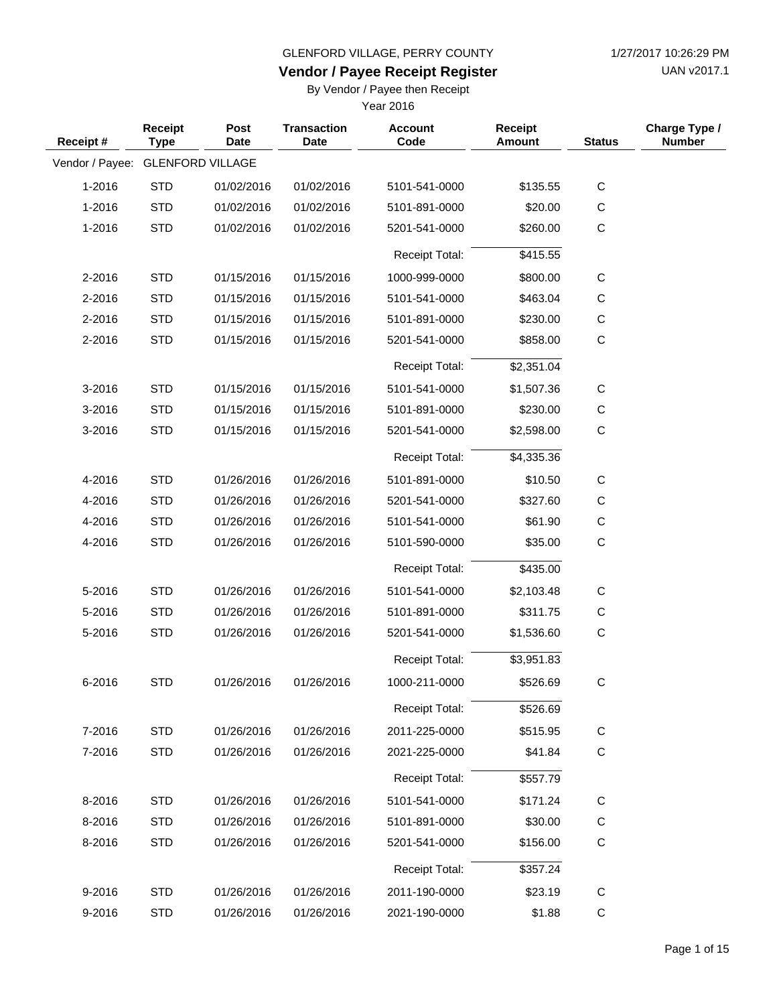UAN v2017.1

# **Vendor / Payee Receipt Register**

By Vendor / Payee then Receipt

| Receipt#        | Receipt<br><b>Type</b>  | Post<br><b>Date</b> | <b>Transaction</b><br><b>Date</b> | <b>Account</b><br>Code | <b>Receipt</b><br><b>Amount</b> | <b>Status</b> | Charge Type /<br><b>Number</b> |
|-----------------|-------------------------|---------------------|-----------------------------------|------------------------|---------------------------------|---------------|--------------------------------|
| Vendor / Payee: | <b>GLENFORD VILLAGE</b> |                     |                                   |                        |                                 |               |                                |
| 1-2016          | <b>STD</b>              | 01/02/2016          | 01/02/2016                        | 5101-541-0000          | \$135.55                        | $\mathbf C$   |                                |
| 1-2016          | <b>STD</b>              | 01/02/2016          | 01/02/2016                        | 5101-891-0000          | \$20.00                         | $\mathsf C$   |                                |
| 1-2016          | <b>STD</b>              | 01/02/2016          | 01/02/2016                        | 5201-541-0000          | \$260.00                        | C             |                                |
|                 |                         |                     |                                   | <b>Receipt Total:</b>  | \$415.55                        |               |                                |
| 2-2016          | <b>STD</b>              | 01/15/2016          | 01/15/2016                        | 1000-999-0000          | \$800.00                        | $\mathsf C$   |                                |
| 2-2016          | <b>STD</b>              | 01/15/2016          | 01/15/2016                        | 5101-541-0000          | \$463.04                        | С             |                                |
| 2-2016          | <b>STD</b>              | 01/15/2016          | 01/15/2016                        | 5101-891-0000          | \$230.00                        | C             |                                |
| 2-2016          | <b>STD</b>              | 01/15/2016          | 01/15/2016                        | 5201-541-0000          | \$858.00                        | $\mathbf C$   |                                |
|                 |                         |                     |                                   | <b>Receipt Total:</b>  | \$2,351.04                      |               |                                |
| 3-2016          | <b>STD</b>              | 01/15/2016          | 01/15/2016                        | 5101-541-0000          | \$1,507.36                      | C             |                                |
| 3-2016          | <b>STD</b>              | 01/15/2016          | 01/15/2016                        | 5101-891-0000          | \$230.00                        | C             |                                |
| 3-2016          | <b>STD</b>              | 01/15/2016          | 01/15/2016                        | 5201-541-0000          | \$2,598.00                      | $\mathsf C$   |                                |
|                 |                         |                     |                                   | <b>Receipt Total:</b>  | \$4,335.36                      |               |                                |
| 4-2016          | <b>STD</b>              | 01/26/2016          | 01/26/2016                        | 5101-891-0000          | \$10.50                         | C             |                                |
| 4-2016          | <b>STD</b>              | 01/26/2016          | 01/26/2016                        | 5201-541-0000          | \$327.60                        | $\mathsf C$   |                                |
| 4-2016          | <b>STD</b>              | 01/26/2016          | 01/26/2016                        | 5101-541-0000          | \$61.90                         | C             |                                |
| 4-2016          | <b>STD</b>              | 01/26/2016          | 01/26/2016                        | 5101-590-0000          | \$35.00                         | $\mathsf C$   |                                |
|                 |                         |                     |                                   | <b>Receipt Total:</b>  | \$435.00                        |               |                                |
| 5-2016          | <b>STD</b>              | 01/26/2016          | 01/26/2016                        | 5101-541-0000          | \$2,103.48                      | C             |                                |
| 5-2016          | <b>STD</b>              | 01/26/2016          | 01/26/2016                        | 5101-891-0000          | \$311.75                        | $\mathsf{C}$  |                                |
| 5-2016          | <b>STD</b>              | 01/26/2016          | 01/26/2016                        | 5201-541-0000          | \$1,536.60                      | $\mathsf C$   |                                |
|                 |                         |                     |                                   | <b>Receipt Total:</b>  | \$3,951.83                      |               |                                |
| 6-2016          | <b>STD</b>              | 01/26/2016          | 01/26/2016                        | 1000-211-0000          | \$526.69                        | $\mathsf C$   |                                |
|                 |                         |                     |                                   | <b>Receipt Total:</b>  | \$526.69                        |               |                                |
| 7-2016          | <b>STD</b>              | 01/26/2016          | 01/26/2016                        | 2011-225-0000          | \$515.95                        | C             |                                |
| 7-2016          | <b>STD</b>              | 01/26/2016          | 01/26/2016                        | 2021-225-0000          | \$41.84                         | $\mathbf C$   |                                |
|                 |                         |                     |                                   | Receipt Total:         | \$557.79                        |               |                                |
| 8-2016          | <b>STD</b>              | 01/26/2016          | 01/26/2016                        | 5101-541-0000          | \$171.24                        | $\mathsf C$   |                                |
| 8-2016          | <b>STD</b>              | 01/26/2016          | 01/26/2016                        | 5101-891-0000          | \$30.00                         | $\mathsf{C}$  |                                |
| 8-2016          | <b>STD</b>              | 01/26/2016          | 01/26/2016                        | 5201-541-0000          | \$156.00                        | $\mathbf C$   |                                |
|                 |                         |                     |                                   | Receipt Total:         | \$357.24                        |               |                                |
| 9-2016          | <b>STD</b>              | 01/26/2016          | 01/26/2016                        | 2011-190-0000          | \$23.19                         | $\mathbf C$   |                                |
| 9-2016          | <b>STD</b>              | 01/26/2016          | 01/26/2016                        | 2021-190-0000          | \$1.88                          | $\mathbf C$   |                                |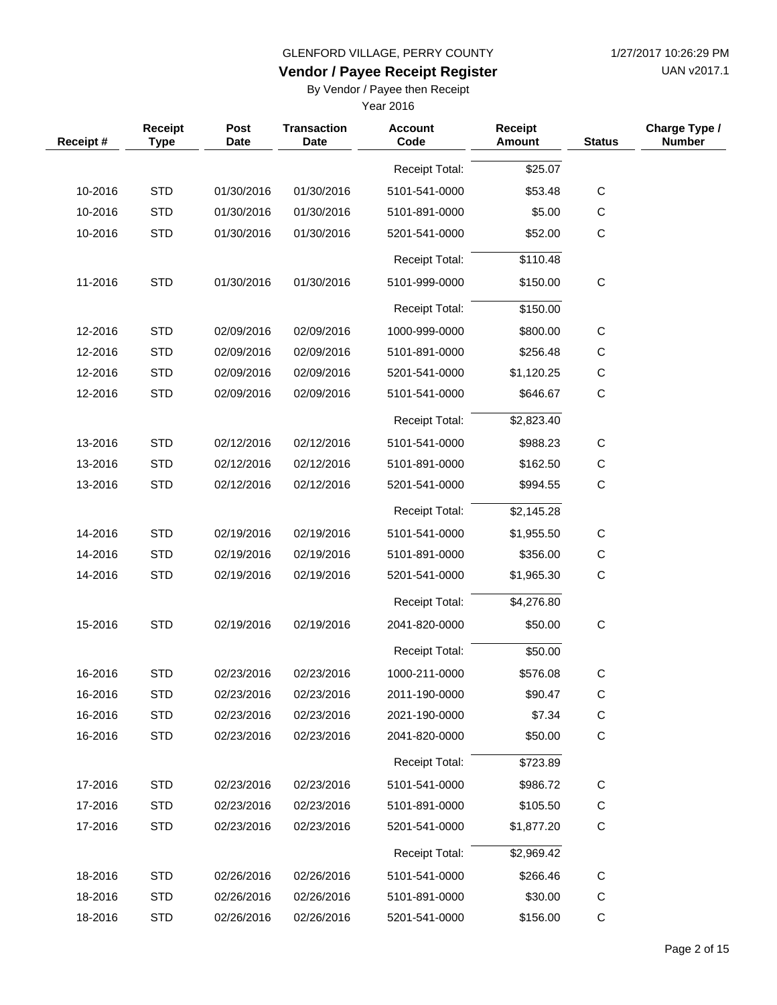UAN v2017.1

# **Vendor / Payee Receipt Register**

By Vendor / Payee then Receipt

| Receipt# | Receipt<br><b>Type</b> | <b>Post</b><br><b>Date</b> | <b>Transaction</b><br><b>Date</b> | <b>Account</b><br>Code | <b>Receipt</b><br><b>Amount</b> | <b>Status</b> | Charge Type /<br><b>Number</b> |
|----------|------------------------|----------------------------|-----------------------------------|------------------------|---------------------------------|---------------|--------------------------------|
|          |                        |                            |                                   | <b>Receipt Total:</b>  | \$25.07                         |               |                                |
| 10-2016  | <b>STD</b>             | 01/30/2016                 | 01/30/2016                        | 5101-541-0000          | \$53.48                         | $\mathbf C$   |                                |
| 10-2016  | <b>STD</b>             | 01/30/2016                 | 01/30/2016                        | 5101-891-0000          | \$5.00                          | $\mathsf C$   |                                |
| 10-2016  | <b>STD</b>             | 01/30/2016                 | 01/30/2016                        | 5201-541-0000          | \$52.00                         | $\mathbf C$   |                                |
|          |                        |                            |                                   | <b>Receipt Total:</b>  | \$110.48                        |               |                                |
| 11-2016  | <b>STD</b>             | 01/30/2016                 | 01/30/2016                        | 5101-999-0000          | \$150.00                        | $\mathbf C$   |                                |
|          |                        |                            |                                   | <b>Receipt Total:</b>  | \$150.00                        |               |                                |
| 12-2016  | <b>STD</b>             | 02/09/2016                 | 02/09/2016                        | 1000-999-0000          | \$800.00                        | $\mathbf C$   |                                |
| 12-2016  | <b>STD</b>             | 02/09/2016                 | 02/09/2016                        | 5101-891-0000          | \$256.48                        | C             |                                |
| 12-2016  | <b>STD</b>             | 02/09/2016                 | 02/09/2016                        | 5201-541-0000          | \$1,120.25                      | C             |                                |
| 12-2016  | <b>STD</b>             | 02/09/2016                 | 02/09/2016                        | 5101-541-0000          | \$646.67                        | $\mathbf C$   |                                |
|          |                        |                            |                                   | <b>Receipt Total:</b>  | \$2,823.40                      |               |                                |
| 13-2016  | <b>STD</b>             | 02/12/2016                 | 02/12/2016                        | 5101-541-0000          | \$988.23                        | $\mathbf C$   |                                |
| 13-2016  | <b>STD</b>             | 02/12/2016                 | 02/12/2016                        | 5101-891-0000          | \$162.50                        | C             |                                |
| 13-2016  | <b>STD</b>             | 02/12/2016                 | 02/12/2016                        | 5201-541-0000          | \$994.55                        | $\mathbf C$   |                                |
|          |                        |                            |                                   | <b>Receipt Total:</b>  | \$2,145.28                      |               |                                |
| 14-2016  | <b>STD</b>             | 02/19/2016                 | 02/19/2016                        | 5101-541-0000          | \$1,955.50                      | $\mathbf C$   |                                |
| 14-2016  | <b>STD</b>             | 02/19/2016                 | 02/19/2016                        | 5101-891-0000          | \$356.00                        | C             |                                |
| 14-2016  | <b>STD</b>             | 02/19/2016                 | 02/19/2016                        | 5201-541-0000          | \$1,965.30                      | C             |                                |
|          |                        |                            |                                   | <b>Receipt Total:</b>  | \$4,276.80                      |               |                                |
| 15-2016  | <b>STD</b>             | 02/19/2016                 | 02/19/2016                        | 2041-820-0000          | \$50.00                         | $\mathbf C$   |                                |
|          |                        |                            |                                   | <b>Receipt Total:</b>  | \$50.00                         |               |                                |
| 16-2016  | <b>STD</b>             | 02/23/2016                 | 02/23/2016                        | 1000-211-0000          | \$576.08                        | $\mathsf C$   |                                |
| 16-2016  | <b>STD</b>             | 02/23/2016                 | 02/23/2016                        | 2011-190-0000          | \$90.47                         | C             |                                |
| 16-2016  | <b>STD</b>             | 02/23/2016                 | 02/23/2016                        | 2021-190-0000          | \$7.34                          | C             |                                |
| 16-2016  | <b>STD</b>             | 02/23/2016                 | 02/23/2016                        | 2041-820-0000          | \$50.00                         | $\mathbf C$   |                                |
|          |                        |                            |                                   | Receipt Total:         | \$723.89                        |               |                                |
| 17-2016  | <b>STD</b>             | 02/23/2016                 | 02/23/2016                        | 5101-541-0000          | \$986.72                        | $\mathsf C$   |                                |
| 17-2016  | <b>STD</b>             | 02/23/2016                 | 02/23/2016                        | 5101-891-0000          | \$105.50                        | C             |                                |
| 17-2016  | <b>STD</b>             | 02/23/2016                 | 02/23/2016                        | 5201-541-0000          | \$1,877.20                      | C             |                                |
|          |                        |                            |                                   | Receipt Total:         | \$2,969.42                      |               |                                |
| 18-2016  | <b>STD</b>             | 02/26/2016                 | 02/26/2016                        | 5101-541-0000          | \$266.46                        | $\mathsf C$   |                                |
| 18-2016  | <b>STD</b>             | 02/26/2016                 | 02/26/2016                        | 5101-891-0000          | \$30.00                         | $\mathsf{C}$  |                                |
| 18-2016  | <b>STD</b>             | 02/26/2016                 | 02/26/2016                        | 5201-541-0000          | \$156.00                        | $\mathsf C$   |                                |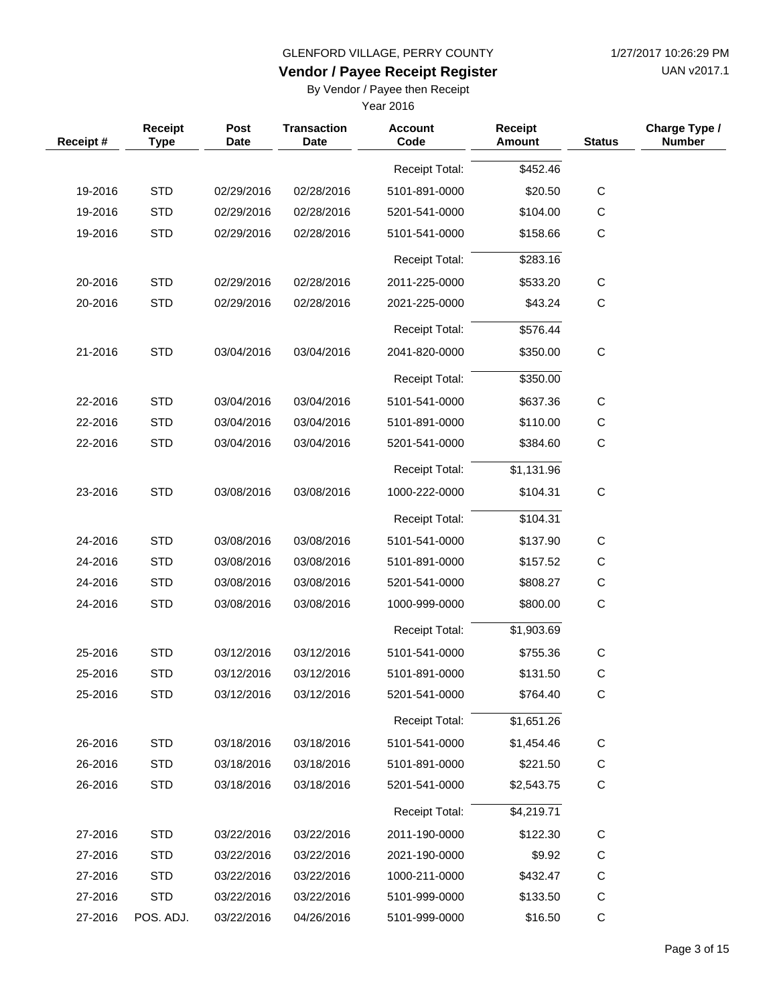UAN v2017.1

# **Vendor / Payee Receipt Register**

By Vendor / Payee then Receipt

| Receipt#           | Receipt<br><b>Type</b>   | Post<br><b>Date</b>      | <b>Transaction</b><br><b>Date</b> | <b>Account</b><br>Code         | <b>Receipt</b><br><b>Amount</b> | <b>Status</b>              | Charge Type /<br><b>Number</b> |
|--------------------|--------------------------|--------------------------|-----------------------------------|--------------------------------|---------------------------------|----------------------------|--------------------------------|
|                    |                          |                          |                                   | <b>Receipt Total:</b>          | \$452.46                        |                            |                                |
| 19-2016            | <b>STD</b>               | 02/29/2016               | 02/28/2016                        | 5101-891-0000                  | \$20.50                         | $\mathsf C$                |                                |
| 19-2016            | <b>STD</b>               | 02/29/2016               | 02/28/2016                        | 5201-541-0000                  | \$104.00                        | $\mathbf C$                |                                |
| 19-2016            | <b>STD</b>               | 02/29/2016               | 02/28/2016                        | 5101-541-0000                  | \$158.66                        | $\mathbf C$                |                                |
|                    |                          |                          |                                   | <b>Receipt Total:</b>          | \$283.16                        |                            |                                |
| 20-2016            | <b>STD</b>               | 02/29/2016               | 02/28/2016                        | 2011-225-0000                  | \$533.20                        | $\mathsf C$                |                                |
| 20-2016            | <b>STD</b>               | 02/29/2016               | 02/28/2016                        | 2021-225-0000                  | \$43.24                         | $\mathsf C$                |                                |
|                    |                          |                          |                                   | <b>Receipt Total:</b>          | \$576.44                        |                            |                                |
| 21-2016            | <b>STD</b>               | 03/04/2016               | 03/04/2016                        | 2041-820-0000                  | \$350.00                        | $\mathsf C$                |                                |
|                    |                          |                          |                                   | <b>Receipt Total:</b>          | \$350.00                        |                            |                                |
|                    |                          |                          | 03/04/2016                        |                                |                                 |                            |                                |
| 22-2016            | <b>STD</b>               | 03/04/2016               | 03/04/2016                        | 5101-541-0000                  | \$637.36                        | С                          |                                |
| 22-2016<br>22-2016 | <b>STD</b><br><b>STD</b> | 03/04/2016<br>03/04/2016 | 03/04/2016                        | 5101-891-0000<br>5201-541-0000 | \$110.00                        | $\mathsf C$<br>$\mathbf C$ |                                |
|                    |                          |                          |                                   |                                | \$384.60                        |                            |                                |
|                    |                          |                          |                                   | <b>Receipt Total:</b>          | \$1,131.96                      |                            |                                |
| 23-2016            | <b>STD</b>               | 03/08/2016               | 03/08/2016                        | 1000-222-0000                  | \$104.31                        | $\mathbf C$                |                                |
|                    |                          |                          |                                   | <b>Receipt Total:</b>          | \$104.31                        |                            |                                |
| 24-2016            | <b>STD</b>               | 03/08/2016               | 03/08/2016                        | 5101-541-0000                  | \$137.90                        | $\mathsf C$                |                                |
| 24-2016            | <b>STD</b>               | 03/08/2016               | 03/08/2016                        | 5101-891-0000                  | \$157.52                        | $\mathsf C$                |                                |
| 24-2016            | <b>STD</b>               | 03/08/2016               | 03/08/2016                        | 5201-541-0000                  | \$808.27                        | $\mathbf C$                |                                |
| 24-2016            | <b>STD</b>               | 03/08/2016               | 03/08/2016                        | 1000-999-0000                  | \$800.00                        | $\mathsf C$                |                                |
|                    |                          |                          |                                   | <b>Receipt Total:</b>          | \$1,903.69                      |                            |                                |
| 25-2016            | <b>STD</b>               | 03/12/2016               | 03/12/2016                        | 5101-541-0000                  | \$755.36                        | $\mathsf C$                |                                |
| 25-2016            | <b>STD</b>               | 03/12/2016               | 03/12/2016                        | 5101-891-0000                  | \$131.50                        | $\mathsf C$                |                                |
| 25-2016            | <b>STD</b>               | 03/12/2016               | 03/12/2016                        | 5201-541-0000                  | \$764.40                        | C                          |                                |
|                    |                          |                          |                                   | Receipt Total:                 | \$1,651.26                      |                            |                                |
| 26-2016            | <b>STD</b>               | 03/18/2016               | 03/18/2016                        | 5101-541-0000                  | \$1,454.46                      | C                          |                                |
| 26-2016            | <b>STD</b>               | 03/18/2016               | 03/18/2016                        | 5101-891-0000                  | \$221.50                        | C                          |                                |
| 26-2016            | <b>STD</b>               | 03/18/2016               | 03/18/2016                        | 5201-541-0000                  | \$2,543.75                      | $\mathsf C$                |                                |
|                    |                          |                          |                                   | <b>Receipt Total:</b>          | \$4,219.71                      |                            |                                |
| 27-2016            | <b>STD</b>               | 03/22/2016               | 03/22/2016                        | 2011-190-0000                  | \$122.30                        | C                          |                                |
| 27-2016            | <b>STD</b>               | 03/22/2016               | 03/22/2016                        | 2021-190-0000                  | \$9.92                          | C                          |                                |
| 27-2016            | <b>STD</b>               | 03/22/2016               | 03/22/2016                        | 1000-211-0000                  | \$432.47                        | $\mathsf C$                |                                |
| 27-2016            | <b>STD</b>               | 03/22/2016               | 03/22/2016                        | 5101-999-0000                  | \$133.50                        | C                          |                                |
| 27-2016            | POS. ADJ.                | 03/22/2016               | 04/26/2016                        | 5101-999-0000                  | \$16.50                         | C                          |                                |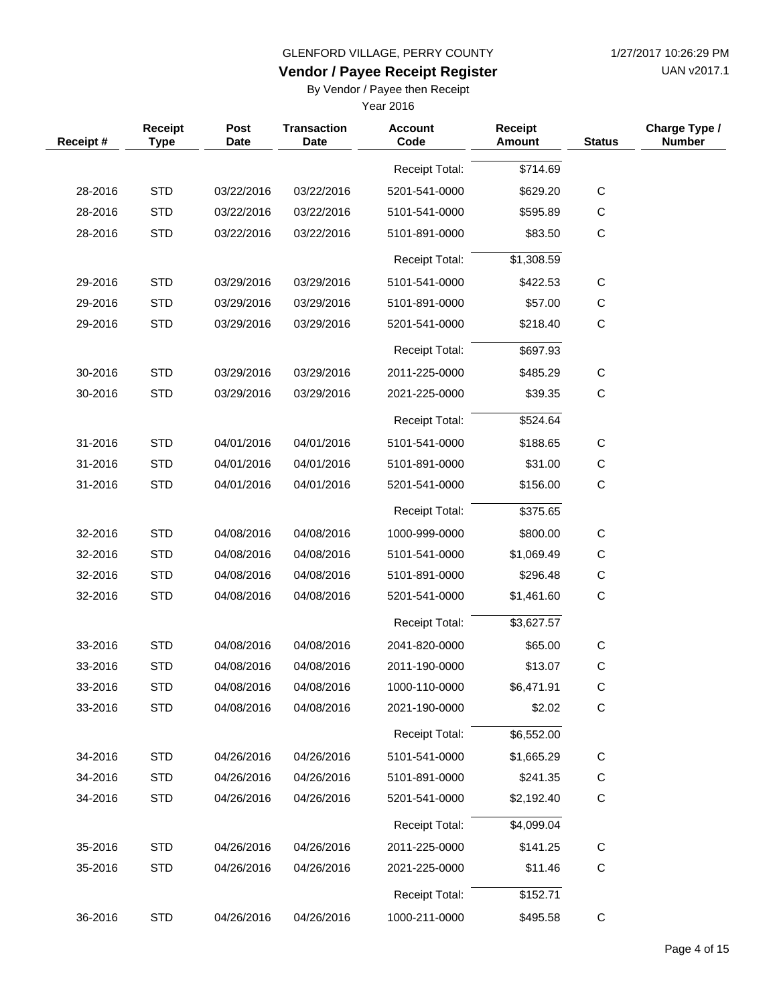UAN v2017.1

# **Vendor / Payee Receipt Register**

By Vendor / Payee then Receipt

| Receipt# | Receipt<br><b>Type</b> | Post<br><b>Date</b> | <b>Transaction</b><br><b>Date</b> | <b>Account</b><br>Code | Receipt<br><b>Amount</b> | <b>Status</b> | Charge Type /<br><b>Number</b> |
|----------|------------------------|---------------------|-----------------------------------|------------------------|--------------------------|---------------|--------------------------------|
|          |                        |                     |                                   | Receipt Total:         | \$714.69                 |               |                                |
| 28-2016  | <b>STD</b>             | 03/22/2016          | 03/22/2016                        | 5201-541-0000          | \$629.20                 | C             |                                |
| 28-2016  | <b>STD</b>             | 03/22/2016          | 03/22/2016                        | 5101-541-0000          | \$595.89                 | $\mathsf C$   |                                |
| 28-2016  | <b>STD</b>             | 03/22/2016          | 03/22/2016                        | 5101-891-0000          | \$83.50                  | C             |                                |
|          |                        |                     |                                   | <b>Receipt Total:</b>  | \$1,308.59               |               |                                |
| 29-2016  | <b>STD</b>             | 03/29/2016          | 03/29/2016                        | 5101-541-0000          | \$422.53                 | C             |                                |
| 29-2016  | <b>STD</b>             | 03/29/2016          | 03/29/2016                        | 5101-891-0000          | \$57.00                  | $\mathsf{C}$  |                                |
| 29-2016  | <b>STD</b>             | 03/29/2016          | 03/29/2016                        | 5201-541-0000          | \$218.40                 | C             |                                |
|          |                        |                     |                                   | <b>Receipt Total:</b>  | \$697.93                 |               |                                |
| 30-2016  | <b>STD</b>             | 03/29/2016          | 03/29/2016                        | 2011-225-0000          | \$485.29                 | C             |                                |
| 30-2016  | <b>STD</b>             | 03/29/2016          | 03/29/2016                        | 2021-225-0000          | \$39.35                  | $\mathsf{C}$  |                                |
|          |                        |                     |                                   | <b>Receipt Total:</b>  | \$524.64                 |               |                                |
| 31-2016  | <b>STD</b>             | 04/01/2016          | 04/01/2016                        | 5101-541-0000          | \$188.65                 | $\mathbf C$   |                                |
| 31-2016  | <b>STD</b>             | 04/01/2016          | 04/01/2016                        | 5101-891-0000          | \$31.00                  | $\mathsf{C}$  |                                |
| 31-2016  | <b>STD</b>             | 04/01/2016          | 04/01/2016                        | 5201-541-0000          | \$156.00                 | C             |                                |
|          |                        |                     |                                   | <b>Receipt Total:</b>  | \$375.65                 |               |                                |
| 32-2016  | <b>STD</b>             | 04/08/2016          | 04/08/2016                        | 1000-999-0000          | \$800.00                 | $\mathbf C$   |                                |
| 32-2016  | <b>STD</b>             | 04/08/2016          | 04/08/2016                        | 5101-541-0000          | \$1,069.49               | $\mathsf{C}$  |                                |
| 32-2016  | <b>STD</b>             | 04/08/2016          | 04/08/2016                        | 5101-891-0000          | \$296.48                 | $\mathsf{C}$  |                                |
| 32-2016  | <b>STD</b>             | 04/08/2016          | 04/08/2016                        | 5201-541-0000          | \$1,461.60               | C             |                                |
|          |                        |                     |                                   | <b>Receipt Total:</b>  | \$3,627.57               |               |                                |
| 33-2016  | <b>STD</b>             | 04/08/2016          | 04/08/2016                        | 2041-820-0000          | \$65.00                  | $\mathsf{C}$  |                                |
| 33-2016  | <b>STD</b>             | 04/08/2016          | 04/08/2016                        | 2011-190-0000          | \$13.07                  | C             |                                |
| 33-2016  | <b>STD</b>             | 04/08/2016          | 04/08/2016                        | 1000-110-0000          | \$6,471.91               | С             |                                |
| 33-2016  | <b>STD</b>             | 04/08/2016          | 04/08/2016                        | 2021-190-0000          | \$2.02                   | $\mathbf C$   |                                |
|          |                        |                     |                                   | Receipt Total:         | \$6,552.00               |               |                                |
| 34-2016  | <b>STD</b>             | 04/26/2016          | 04/26/2016                        | 5101-541-0000          | \$1,665.29               | $\mathsf C$   |                                |
| 34-2016  | <b>STD</b>             | 04/26/2016          | 04/26/2016                        | 5101-891-0000          | \$241.35                 | C             |                                |
| 34-2016  | <b>STD</b>             | 04/26/2016          | 04/26/2016                        | 5201-541-0000          | \$2,192.40               | $\mathbf C$   |                                |
|          |                        |                     |                                   | Receipt Total:         | \$4,099.04               |               |                                |
| 35-2016  | <b>STD</b>             | 04/26/2016          | 04/26/2016                        | 2011-225-0000          | \$141.25                 | C             |                                |
| 35-2016  | <b>STD</b>             | 04/26/2016          | 04/26/2016                        | 2021-225-0000          | \$11.46                  | $\mathbf C$   |                                |
|          |                        |                     |                                   | <b>Receipt Total:</b>  | \$152.71                 |               |                                |
| 36-2016  | <b>STD</b>             | 04/26/2016          | 04/26/2016                        | 1000-211-0000          | \$495.58                 | C             |                                |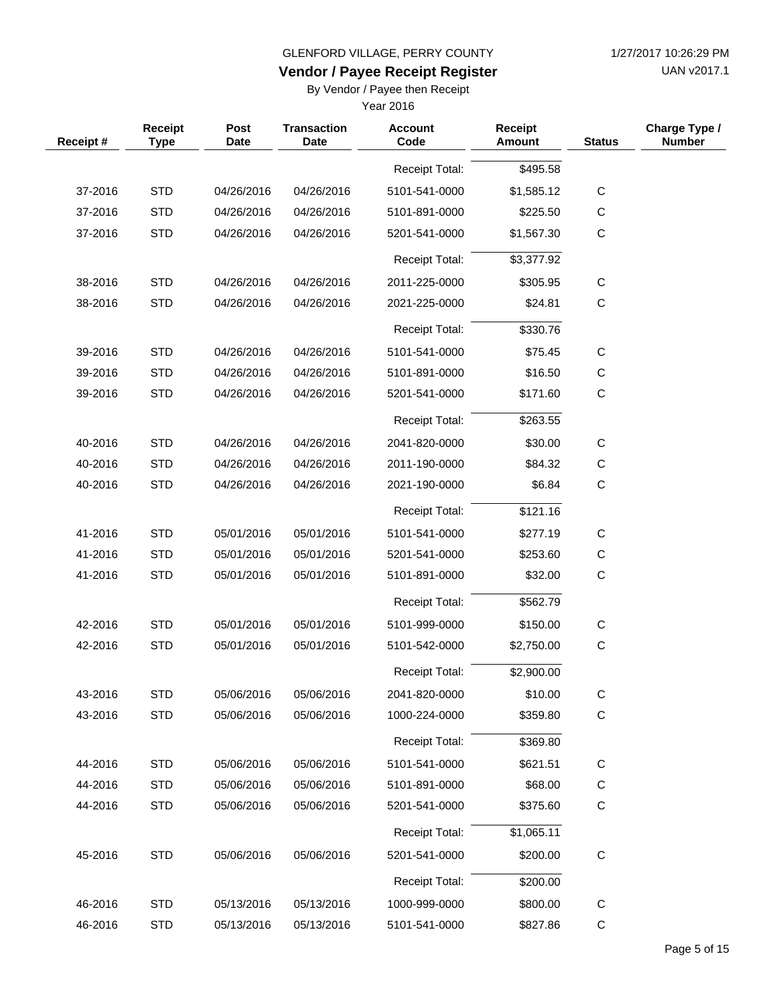UAN v2017.1

# **Vendor / Payee Receipt Register**

By Vendor / Payee then Receipt

| Receipt# | Receipt<br><b>Type</b> | Post<br><b>Date</b> | <b>Transaction</b><br><b>Date</b> | <b>Account</b><br>Code | Receipt<br>Amount | <b>Status</b> | Charge Type /<br><b>Number</b> |
|----------|------------------------|---------------------|-----------------------------------|------------------------|-------------------|---------------|--------------------------------|
|          |                        |                     |                                   | <b>Receipt Total:</b>  | \$495.58          |               |                                |
| 37-2016  | <b>STD</b>             | 04/26/2016          | 04/26/2016                        | 5101-541-0000          | \$1,585.12        | $\mathbf C$   |                                |
| 37-2016  | <b>STD</b>             | 04/26/2016          | 04/26/2016                        | 5101-891-0000          | \$225.50          | $\mathbf C$   |                                |
| 37-2016  | <b>STD</b>             | 04/26/2016          | 04/26/2016                        | 5201-541-0000          | \$1,567.30        | C             |                                |
|          |                        |                     |                                   | <b>Receipt Total:</b>  | \$3,377.92        |               |                                |
| 38-2016  | <b>STD</b>             | 04/26/2016          | 04/26/2016                        | 2011-225-0000          | \$305.95          | C             |                                |
| 38-2016  | <b>STD</b>             | 04/26/2016          | 04/26/2016                        | 2021-225-0000          | \$24.81           | $\mathbf C$   |                                |
|          |                        |                     |                                   | <b>Receipt Total:</b>  | \$330.76          |               |                                |
| 39-2016  | <b>STD</b>             | 04/26/2016          | 04/26/2016                        | 5101-541-0000          | \$75.45           | $\mathbf C$   |                                |
| 39-2016  | <b>STD</b>             | 04/26/2016          | 04/26/2016                        | 5101-891-0000          | \$16.50           | C             |                                |
| 39-2016  | <b>STD</b>             | 04/26/2016          | 04/26/2016                        | 5201-541-0000          | \$171.60          | C             |                                |
|          |                        |                     |                                   |                        |                   |               |                                |
|          |                        |                     |                                   | Receipt Total:         | \$263.55          |               |                                |
| 40-2016  | <b>STD</b>             | 04/26/2016          | 04/26/2016                        | 2041-820-0000          | \$30.00           | $\mathbf C$   |                                |
| 40-2016  | <b>STD</b>             | 04/26/2016          | 04/26/2016                        | 2011-190-0000          | \$84.32           | C             |                                |
| 40-2016  | <b>STD</b>             | 04/26/2016          | 04/26/2016                        | 2021-190-0000          | \$6.84            | $\mathbf C$   |                                |
|          |                        |                     |                                   | <b>Receipt Total:</b>  | \$121.16          |               |                                |
| 41-2016  | <b>STD</b>             | 05/01/2016          | 05/01/2016                        | 5101-541-0000          | \$277.19          | $\mathbf C$   |                                |
| 41-2016  | <b>STD</b>             | 05/01/2016          | 05/01/2016                        | 5201-541-0000          | \$253.60          | C             |                                |
| 41-2016  | <b>STD</b>             | 05/01/2016          | 05/01/2016                        | 5101-891-0000          | \$32.00           | $\mathbf C$   |                                |
|          |                        |                     |                                   | <b>Receipt Total:</b>  | \$562.79          |               |                                |
| 42-2016  | <b>STD</b>             | 05/01/2016          | 05/01/2016                        | 5101-999-0000          | \$150.00          | C             |                                |
| 42-2016  | <b>STD</b>             | 05/01/2016          | 05/01/2016                        | 5101-542-0000          | \$2,750.00        | $\mathsf C$   |                                |
|          |                        |                     |                                   | <b>Receipt Total:</b>  | \$2,900.00        |               |                                |
| 43-2016  | <b>STD</b>             | 05/06/2016          | 05/06/2016                        | 2041-820-0000          | \$10.00           | C             |                                |
| 43-2016  | <b>STD</b>             | 05/06/2016          | 05/06/2016                        | 1000-224-0000          | \$359.80          | C             |                                |
|          |                        |                     |                                   | Receipt Total:         | \$369.80          |               |                                |
| 44-2016  | <b>STD</b>             | 05/06/2016          | 05/06/2016                        | 5101-541-0000          | \$621.51          | $\mathsf C$   |                                |
| 44-2016  | <b>STD</b>             | 05/06/2016          | 05/06/2016                        | 5101-891-0000          | \$68.00           | C             |                                |
| 44-2016  | <b>STD</b>             | 05/06/2016          | 05/06/2016                        | 5201-541-0000          | \$375.60          | C             |                                |
|          |                        |                     |                                   | Receipt Total:         | \$1,065.11        |               |                                |
| 45-2016  | <b>STD</b>             | 05/06/2016          | 05/06/2016                        | 5201-541-0000          | \$200.00          | ${\bf C}$     |                                |
|          |                        |                     |                                   | <b>Receipt Total:</b>  | \$200.00          |               |                                |
| 46-2016  | <b>STD</b>             | 05/13/2016          | 05/13/2016                        | 1000-999-0000          | \$800.00          | $\mathsf C$   |                                |
| 46-2016  | <b>STD</b>             | 05/13/2016          | 05/13/2016                        | 5101-541-0000          | \$827.86          | $\mathsf C$   |                                |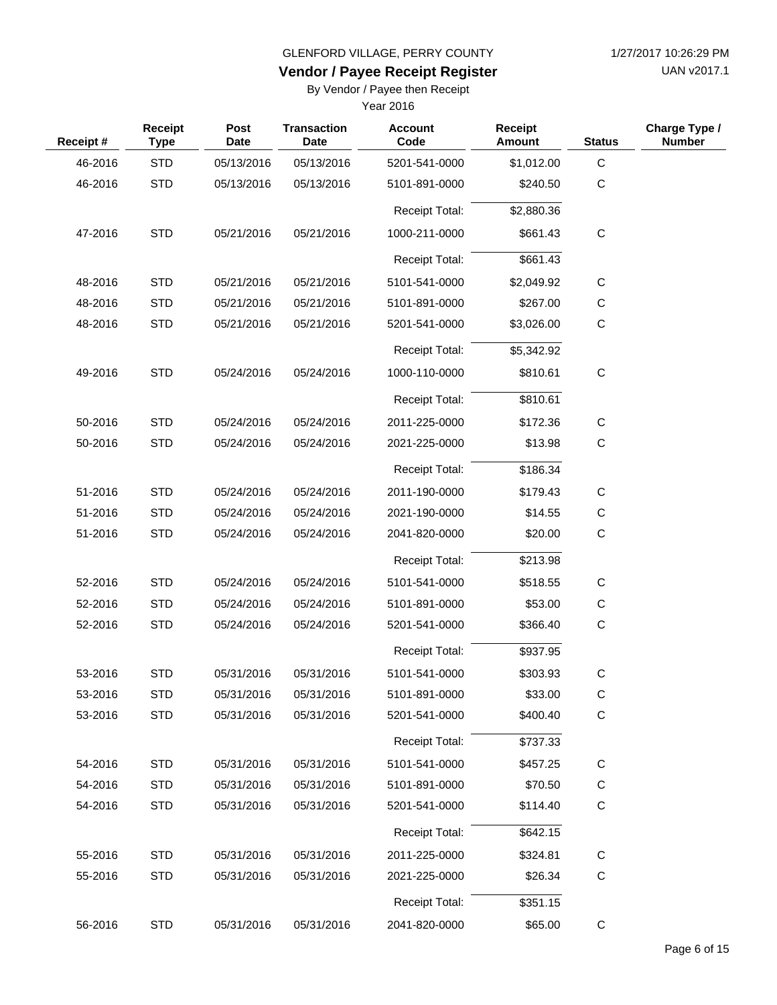UAN v2017.1

# **Vendor / Payee Receipt Register**

By Vendor / Payee then Receipt

| Receipt# | <b>Receipt</b><br><b>Type</b> | Post<br><b>Date</b> | <b>Transaction</b><br><b>Date</b> | <b>Account</b><br>Code | <b>Receipt</b><br><b>Amount</b> | <b>Status</b> | Charge Type /<br><b>Number</b> |
|----------|-------------------------------|---------------------|-----------------------------------|------------------------|---------------------------------|---------------|--------------------------------|
| 46-2016  | <b>STD</b>                    | 05/13/2016          | 05/13/2016                        | 5201-541-0000          | \$1,012.00                      | $\mathbf C$   |                                |
| 46-2016  | <b>STD</b>                    | 05/13/2016          | 05/13/2016                        | 5101-891-0000          | \$240.50                        | $\mathbf C$   |                                |
|          |                               |                     |                                   | Receipt Total:         | \$2,880.36                      |               |                                |
| 47-2016  | <b>STD</b>                    | 05/21/2016          | 05/21/2016                        | 1000-211-0000          | \$661.43                        | $\mathbf C$   |                                |
|          |                               |                     |                                   | <b>Receipt Total:</b>  | \$661.43                        |               |                                |
| 48-2016  | <b>STD</b>                    | 05/21/2016          | 05/21/2016                        | 5101-541-0000          | \$2,049.92                      | $\mathbf C$   |                                |
| 48-2016  | <b>STD</b>                    | 05/21/2016          | 05/21/2016                        | 5101-891-0000          | \$267.00                        | $\mathbf C$   |                                |
| 48-2016  | <b>STD</b>                    | 05/21/2016          | 05/21/2016                        | 5201-541-0000          | \$3,026.00                      | $\mathsf{C}$  |                                |
|          |                               |                     |                                   | <b>Receipt Total:</b>  | \$5,342.92                      |               |                                |
| 49-2016  | <b>STD</b>                    | 05/24/2016          | 05/24/2016                        | 1000-110-0000          | \$810.61                        | $\mathbf C$   |                                |
|          |                               |                     |                                   |                        |                                 |               |                                |
|          |                               |                     |                                   | <b>Receipt Total:</b>  | \$810.61                        |               |                                |
| 50-2016  | <b>STD</b>                    | 05/24/2016          | 05/24/2016                        | 2011-225-0000          | \$172.36                        | C             |                                |
| 50-2016  | <b>STD</b>                    | 05/24/2016          | 05/24/2016                        | 2021-225-0000          | \$13.98                         | C             |                                |
|          |                               |                     |                                   | <b>Receipt Total:</b>  | \$186.34                        |               |                                |
| 51-2016  | <b>STD</b>                    | 05/24/2016          | 05/24/2016                        | 2011-190-0000          | \$179.43                        | C             |                                |
| 51-2016  | <b>STD</b>                    | 05/24/2016          | 05/24/2016                        | 2021-190-0000          | \$14.55                         | C             |                                |
| 51-2016  | <b>STD</b>                    | 05/24/2016          | 05/24/2016                        | 2041-820-0000          | \$20.00                         | $\mathbf C$   |                                |
|          |                               |                     |                                   | Receipt Total:         | \$213.98                        |               |                                |
| 52-2016  | <b>STD</b>                    | 05/24/2016          | 05/24/2016                        | 5101-541-0000          | \$518.55                        | C             |                                |
| 52-2016  | <b>STD</b>                    | 05/24/2016          | 05/24/2016                        | 5101-891-0000          | \$53.00                         | C             |                                |
| 52-2016  | <b>STD</b>                    | 05/24/2016          | 05/24/2016                        | 5201-541-0000          | \$366.40                        | $\mathbf C$   |                                |
|          |                               |                     |                                   | <b>Receipt Total:</b>  | \$937.95                        |               |                                |
| 53-2016  | <b>STD</b>                    | 05/31/2016          | 05/31/2016                        | 5101-541-0000          | \$303.93                        | $\mathsf C$   |                                |
| 53-2016  | <b>STD</b>                    | 05/31/2016          | 05/31/2016                        | 5101-891-0000          | \$33.00                         | C             |                                |
| 53-2016  | <b>STD</b>                    | 05/31/2016          | 05/31/2016                        | 5201-541-0000          | \$400.40                        | $\mathbf C$   |                                |
|          |                               |                     |                                   | <b>Receipt Total:</b>  | \$737.33                        |               |                                |
| 54-2016  | <b>STD</b>                    | 05/31/2016          | 05/31/2016                        | 5101-541-0000          | \$457.25                        | C             |                                |
| 54-2016  | <b>STD</b>                    | 05/31/2016          | 05/31/2016                        | 5101-891-0000          | \$70.50                         | C             |                                |
| 54-2016  | <b>STD</b>                    | 05/31/2016          | 05/31/2016                        | 5201-541-0000          | \$114.40                        | C             |                                |
|          |                               |                     |                                   | <b>Receipt Total:</b>  | \$642.15                        |               |                                |
| 55-2016  | <b>STD</b>                    | 05/31/2016          | 05/31/2016                        | 2011-225-0000          | \$324.81                        | C             |                                |
| 55-2016  | <b>STD</b>                    | 05/31/2016          | 05/31/2016                        | 2021-225-0000          | \$26.34                         | $\mathbf C$   |                                |
|          |                               |                     |                                   |                        |                                 |               |                                |
|          |                               |                     |                                   | Receipt Total:         | \$351.15                        |               |                                |
| 56-2016  | <b>STD</b>                    | 05/31/2016          | 05/31/2016                        | 2041-820-0000          | \$65.00                         | $\mathbf C$   |                                |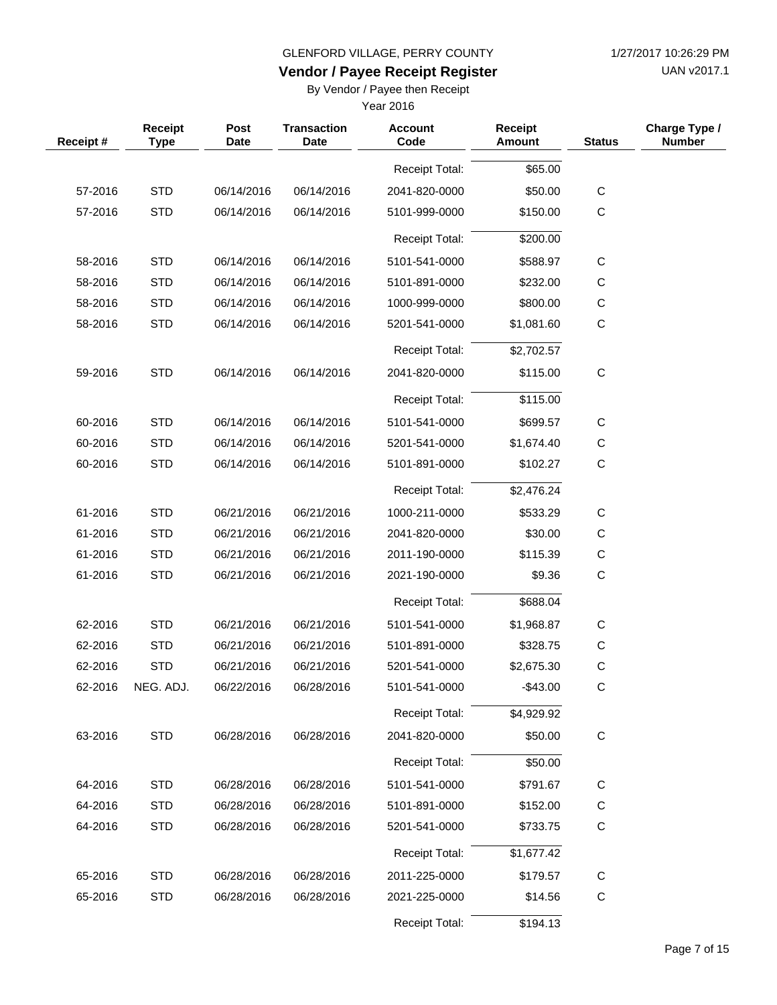UAN v2017.1

# **Vendor / Payee Receipt Register**

By Vendor / Payee then Receipt

| Receipt# | Receipt<br><b>Type</b> | Post<br>Date | <b>Transaction</b><br><b>Date</b> | <b>Account</b><br>Code | Receipt<br><b>Amount</b> | <b>Status</b> | Charge Type /<br><b>Number</b> |
|----------|------------------------|--------------|-----------------------------------|------------------------|--------------------------|---------------|--------------------------------|
|          |                        |              |                                   | <b>Receipt Total:</b>  | \$65.00                  |               |                                |
| 57-2016  | <b>STD</b>             | 06/14/2016   | 06/14/2016                        | 2041-820-0000          | \$50.00                  | $\mathbf C$   |                                |
| 57-2016  | <b>STD</b>             | 06/14/2016   | 06/14/2016                        | 5101-999-0000          | \$150.00                 | С             |                                |
|          |                        |              |                                   | <b>Receipt Total:</b>  | \$200.00                 |               |                                |
| 58-2016  | <b>STD</b>             | 06/14/2016   | 06/14/2016                        | 5101-541-0000          | \$588.97                 | С             |                                |
| 58-2016  | <b>STD</b>             | 06/14/2016   | 06/14/2016                        | 5101-891-0000          | \$232.00                 | С             |                                |
| 58-2016  | <b>STD</b>             | 06/14/2016   | 06/14/2016                        | 1000-999-0000          | \$800.00                 | $\mathsf C$   |                                |
| 58-2016  | <b>STD</b>             | 06/14/2016   | 06/14/2016                        | 5201-541-0000          | \$1,081.60               | $\mathbf C$   |                                |
|          |                        |              |                                   | <b>Receipt Total:</b>  | \$2,702.57               |               |                                |
| 59-2016  | <b>STD</b>             | 06/14/2016   | 06/14/2016                        | 2041-820-0000          | \$115.00                 | $\mathsf C$   |                                |
|          |                        |              |                                   | <b>Receipt Total:</b>  | \$115.00                 |               |                                |
| 60-2016  | <b>STD</b>             | 06/14/2016   | 06/14/2016                        | 5101-541-0000          | \$699.57                 | $\mathsf C$   |                                |
| 60-2016  | <b>STD</b>             | 06/14/2016   | 06/14/2016                        | 5201-541-0000          | \$1,674.40               | $\mathsf C$   |                                |
| 60-2016  | <b>STD</b>             | 06/14/2016   | 06/14/2016                        | 5101-891-0000          | \$102.27                 | C             |                                |
|          |                        |              |                                   | <b>Receipt Total:</b>  | \$2,476.24               |               |                                |
| 61-2016  | <b>STD</b>             | 06/21/2016   | 06/21/2016                        | 1000-211-0000          | \$533.29                 | C             |                                |
| 61-2016  | <b>STD</b>             | 06/21/2016   | 06/21/2016                        | 2041-820-0000          | \$30.00                  | $\mathsf C$   |                                |
| 61-2016  | <b>STD</b>             | 06/21/2016   | 06/21/2016                        | 2011-190-0000          | \$115.39                 | С             |                                |
| 61-2016  | <b>STD</b>             | 06/21/2016   | 06/21/2016                        | 2021-190-0000          | \$9.36                   | $\mathsf C$   |                                |
|          |                        |              |                                   | <b>Receipt Total:</b>  | \$688.04                 |               |                                |
| 62-2016  | <b>STD</b>             | 06/21/2016   | 06/21/2016                        | 5101-541-0000          | \$1,968.87               | $\mathsf C$   |                                |
| 62-2016  | <b>STD</b>             | 06/21/2016   | 06/21/2016                        | 5101-891-0000          | \$328.75                 | С             |                                |
| 62-2016  | <b>STD</b>             | 06/21/2016   | 06/21/2016                        | 5201-541-0000          | \$2,675.30               | $\mathsf C$   |                                |
| 62-2016  | NEG. ADJ.              | 06/22/2016   | 06/28/2016                        | 5101-541-0000          | $-$43.00$                | C.            |                                |
|          |                        |              |                                   | <b>Receipt Total:</b>  | \$4,929.92               |               |                                |
| 63-2016  | <b>STD</b>             | 06/28/2016   | 06/28/2016                        | 2041-820-0000          | \$50.00                  | $\mathbf C$   |                                |
|          |                        |              |                                   | Receipt Total:         | \$50.00                  |               |                                |
| 64-2016  | <b>STD</b>             | 06/28/2016   | 06/28/2016                        | 5101-541-0000          | \$791.67                 | C             |                                |
| 64-2016  | <b>STD</b>             | 06/28/2016   | 06/28/2016                        | 5101-891-0000          | \$152.00                 | С             |                                |
| 64-2016  | <b>STD</b>             | 06/28/2016   | 06/28/2016                        | 5201-541-0000          | \$733.75                 | C             |                                |
|          |                        |              |                                   | Receipt Total:         | \$1,677.42               |               |                                |
| 65-2016  | <b>STD</b>             | 06/28/2016   | 06/28/2016                        | 2011-225-0000          | \$179.57                 | C             |                                |
| 65-2016  | <b>STD</b>             | 06/28/2016   | 06/28/2016                        | 2021-225-0000          | \$14.56                  | $\mathsf C$   |                                |
|          |                        |              |                                   | Receipt Total:         | \$194.13                 |               |                                |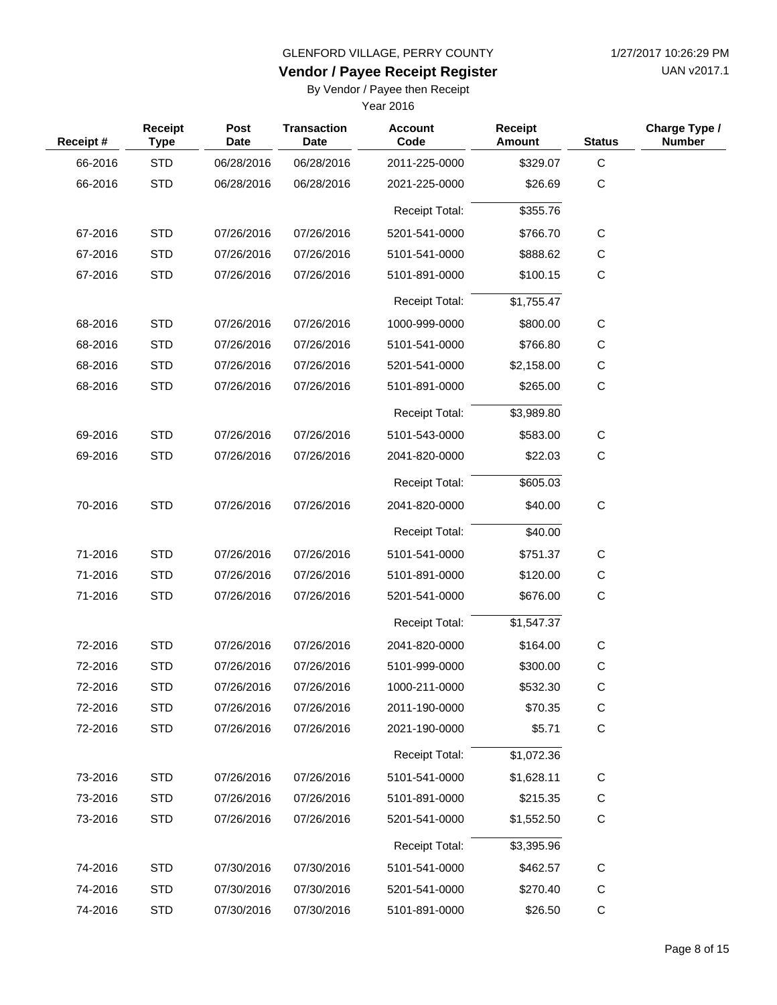UAN v2017.1

# **Vendor / Payee Receipt Register**

By Vendor / Payee then Receipt

| Receipt# | Receipt<br><b>Type</b> | Post<br><b>Date</b> | <b>Transaction</b><br><b>Date</b> | <b>Account</b><br>Code | <b>Receipt</b><br><b>Amount</b> | <b>Status</b> | Charge Type /<br><b>Number</b> |
|----------|------------------------|---------------------|-----------------------------------|------------------------|---------------------------------|---------------|--------------------------------|
| 66-2016  | <b>STD</b>             | 06/28/2016          | 06/28/2016                        | 2011-225-0000          | \$329.07                        | C             |                                |
| 66-2016  | <b>STD</b>             | 06/28/2016          | 06/28/2016                        | 2021-225-0000          | \$26.69                         | $\mathsf C$   |                                |
|          |                        |                     |                                   | <b>Receipt Total:</b>  | \$355.76                        |               |                                |
| 67-2016  | <b>STD</b>             | 07/26/2016          | 07/26/2016                        | 5201-541-0000          | \$766.70                        | $\mathsf{C}$  |                                |
| 67-2016  | <b>STD</b>             | 07/26/2016          | 07/26/2016                        | 5101-541-0000          | \$888.62                        | $\mathsf C$   |                                |
| 67-2016  | <b>STD</b>             | 07/26/2016          | 07/26/2016                        | 5101-891-0000          | \$100.15                        | $\mathsf{C}$  |                                |
|          |                        |                     |                                   | <b>Receipt Total:</b>  | \$1,755.47                      |               |                                |
| 68-2016  | <b>STD</b>             | 07/26/2016          | 07/26/2016                        | 1000-999-0000          | \$800.00                        | $\mathsf{C}$  |                                |
| 68-2016  | <b>STD</b>             | 07/26/2016          | 07/26/2016                        | 5101-541-0000          | \$766.80                        | C             |                                |
| 68-2016  | <b>STD</b>             | 07/26/2016          | 07/26/2016                        | 5201-541-0000          | \$2,158.00                      | $\mathsf{C}$  |                                |
| 68-2016  | <b>STD</b>             | 07/26/2016          | 07/26/2016                        | 5101-891-0000          | \$265.00                        | C             |                                |
|          |                        |                     |                                   | <b>Receipt Total:</b>  | \$3,989.80                      |               |                                |
| 69-2016  | <b>STD</b>             | 07/26/2016          | 07/26/2016                        | 5101-543-0000          | \$583.00                        | C             |                                |
| 69-2016  | <b>STD</b>             | 07/26/2016          | 07/26/2016                        | 2041-820-0000          | \$22.03                         | C             |                                |
|          |                        |                     |                                   | <b>Receipt Total:</b>  | \$605.03                        |               |                                |
| 70-2016  | <b>STD</b>             | 07/26/2016          | 07/26/2016                        | 2041-820-0000          | \$40.00                         | $\mathbf C$   |                                |
|          |                        |                     |                                   | <b>Receipt Total:</b>  | \$40.00                         |               |                                |
| 71-2016  | <b>STD</b>             | 07/26/2016          | 07/26/2016                        | 5101-541-0000          | \$751.37                        | С             |                                |
| 71-2016  | <b>STD</b>             | 07/26/2016          | 07/26/2016                        | 5101-891-0000          | \$120.00                        | C             |                                |
| 71-2016  | <b>STD</b>             | 07/26/2016          | 07/26/2016                        | 5201-541-0000          | \$676.00                        | $\mathsf{C}$  |                                |
|          |                        |                     |                                   | <b>Receipt Total:</b>  | \$1,547.37                      |               |                                |
| 72-2016  | <b>STD</b>             | 07/26/2016          | 07/26/2016                        | 2041-820-0000          | \$164.00                        | C             |                                |
| 72-2016  | <b>STD</b>             | 07/26/2016          | 07/26/2016                        | 5101-999-0000          | \$300.00                        | C             |                                |
| 72-2016  | <b>STD</b>             | 07/26/2016          | 07/26/2016                        | 1000-211-0000          | \$532.30                        | C             |                                |
| 72-2016  | <b>STD</b>             | 07/26/2016          | 07/26/2016                        | 2011-190-0000          | \$70.35                         | $\mathsf C$   |                                |
| 72-2016  | <b>STD</b>             | 07/26/2016          | 07/26/2016                        | 2021-190-0000          | \$5.71                          | $\mathsf C$   |                                |
|          |                        |                     |                                   | <b>Receipt Total:</b>  | \$1,072.36                      |               |                                |
| 73-2016  | <b>STD</b>             | 07/26/2016          | 07/26/2016                        | 5101-541-0000          | \$1,628.11                      | $\mathsf C$   |                                |
| 73-2016  | <b>STD</b>             | 07/26/2016          | 07/26/2016                        | 5101-891-0000          | \$215.35                        | $\mathsf C$   |                                |
| 73-2016  | <b>STD</b>             | 07/26/2016          | 07/26/2016                        | 5201-541-0000          | \$1,552.50                      | C             |                                |
|          |                        |                     |                                   | <b>Receipt Total:</b>  | \$3,395.96                      |               |                                |
| 74-2016  | <b>STD</b>             | 07/30/2016          | 07/30/2016                        | 5101-541-0000          | \$462.57                        | $\mathsf C$   |                                |
| 74-2016  | <b>STD</b>             | 07/30/2016          | 07/30/2016                        | 5201-541-0000          | \$270.40                        | C             |                                |
| 74-2016  | <b>STD</b>             | 07/30/2016          | 07/30/2016                        | 5101-891-0000          | \$26.50                         | $\mathsf C$   |                                |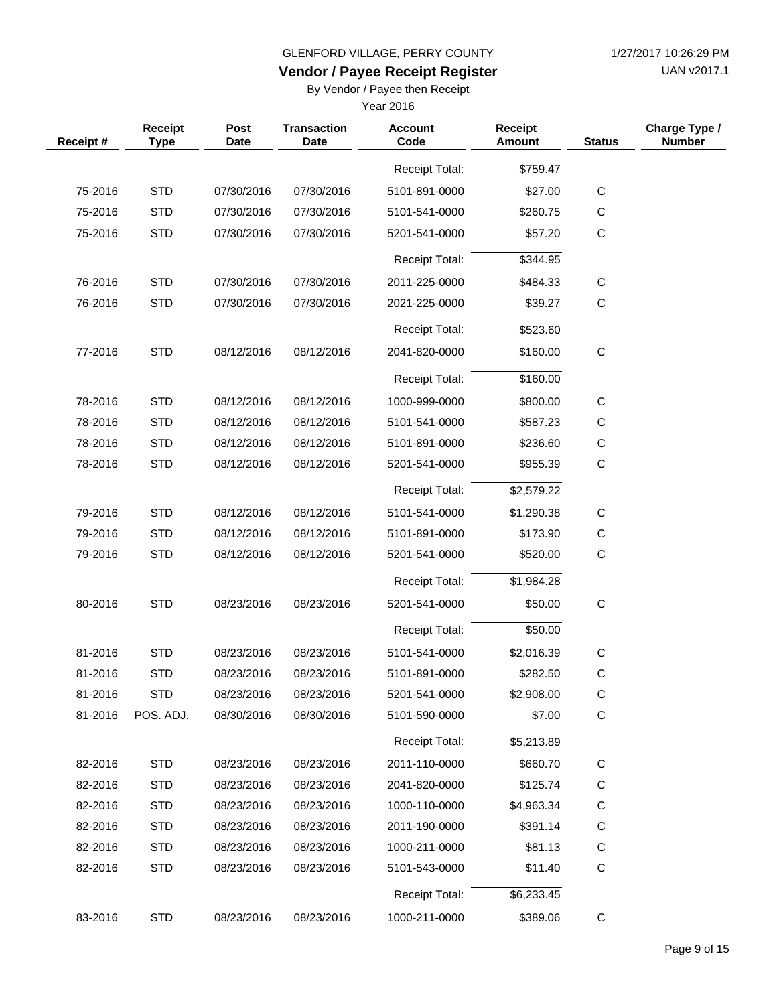UAN v2017.1

# **Vendor / Payee Receipt Register**

By Vendor / Payee then Receipt

| Receipt# | <b>Receipt</b><br><b>Type</b> | Post<br>Date | <b>Transaction</b><br>Date | <b>Account</b><br>Code | Receipt<br>Amount | <b>Status</b> | Charge Type /<br><b>Number</b> |
|----------|-------------------------------|--------------|----------------------------|------------------------|-------------------|---------------|--------------------------------|
|          |                               |              |                            | <b>Receipt Total:</b>  | \$759.47          |               |                                |
| 75-2016  | <b>STD</b>                    | 07/30/2016   | 07/30/2016                 | 5101-891-0000          | \$27.00           | $\mathbf C$   |                                |
| 75-2016  | <b>STD</b>                    | 07/30/2016   | 07/30/2016                 | 5101-541-0000          | \$260.75          | $\mathbf C$   |                                |
| 75-2016  | <b>STD</b>                    | 07/30/2016   | 07/30/2016                 | 5201-541-0000          | \$57.20           | C             |                                |
|          |                               |              |                            | <b>Receipt Total:</b>  | \$344.95          |               |                                |
| 76-2016  | <b>STD</b>                    | 07/30/2016   | 07/30/2016                 | 2011-225-0000          | \$484.33          | $\mathbf C$   |                                |
| 76-2016  | <b>STD</b>                    | 07/30/2016   | 07/30/2016                 | 2021-225-0000          | \$39.27           | $\mathbf C$   |                                |
|          |                               |              |                            | <b>Receipt Total:</b>  | \$523.60          |               |                                |
| 77-2016  | <b>STD</b>                    | 08/12/2016   | 08/12/2016                 | 2041-820-0000          | \$160.00          | $\mathbf C$   |                                |
|          |                               |              |                            | <b>Receipt Total:</b>  | \$160.00          |               |                                |
| 78-2016  | <b>STD</b>                    | 08/12/2016   | 08/12/2016                 | 1000-999-0000          | \$800.00          | C             |                                |
| 78-2016  | <b>STD</b>                    | 08/12/2016   | 08/12/2016                 | 5101-541-0000          | \$587.23          | C             |                                |
| 78-2016  | <b>STD</b>                    | 08/12/2016   | 08/12/2016                 | 5101-891-0000          | \$236.60          | $\mathbf C$   |                                |
| 78-2016  | <b>STD</b>                    | 08/12/2016   | 08/12/2016                 | 5201-541-0000          | \$955.39          | $\mathbf C$   |                                |
|          |                               |              |                            | <b>Receipt Total:</b>  | \$2,579.22        |               |                                |
| 79-2016  | <b>STD</b>                    | 08/12/2016   | 08/12/2016                 | 5101-541-0000          | \$1,290.38        | $\mathbf C$   |                                |
| 79-2016  | <b>STD</b>                    | 08/12/2016   | 08/12/2016                 | 5101-891-0000          | \$173.90          | $\mathbf C$   |                                |
| 79-2016  | <b>STD</b>                    | 08/12/2016   | 08/12/2016                 | 5201-541-0000          | \$520.00          | $\mathbf C$   |                                |
|          |                               |              |                            | <b>Receipt Total:</b>  | \$1,984.28        |               |                                |
| 80-2016  | <b>STD</b>                    | 08/23/2016   | 08/23/2016                 | 5201-541-0000          | \$50.00           | $\mathbf C$   |                                |
|          |                               |              |                            | <b>Receipt Total:</b>  | \$50.00           |               |                                |
| 81-2016  | <b>STD</b>                    | 08/23/2016   | 08/23/2016                 | 5101-541-0000          | \$2,016.39        | C             |                                |
| 81-2016  | <b>STD</b>                    | 08/23/2016   | 08/23/2016                 | 5101-891-0000          | \$282.50          | $\mathsf C$   |                                |
| 81-2016  | <b>STD</b>                    | 08/23/2016   | 08/23/2016                 | 5201-541-0000          | \$2,908.00        | C             |                                |
| 81-2016  | POS. ADJ.                     | 08/30/2016   | 08/30/2016                 | 5101-590-0000          | \$7.00            | $\mathsf C$   |                                |
|          |                               |              |                            | <b>Receipt Total:</b>  | \$5,213.89        |               |                                |
| 82-2016  | <b>STD</b>                    | 08/23/2016   | 08/23/2016                 | 2011-110-0000          | \$660.70          | $\mathsf C$   |                                |
| 82-2016  | <b>STD</b>                    | 08/23/2016   | 08/23/2016                 | 2041-820-0000          | \$125.74          | C             |                                |
| 82-2016  | <b>STD</b>                    | 08/23/2016   | 08/23/2016                 | 1000-110-0000          | \$4,963.34        | $\mathsf{C}$  |                                |
| 82-2016  | <b>STD</b>                    | 08/23/2016   | 08/23/2016                 | 2011-190-0000          | \$391.14          | C             |                                |
| 82-2016  | <b>STD</b>                    | 08/23/2016   | 08/23/2016                 | 1000-211-0000          | \$81.13           | $\mathsf{C}$  |                                |
| 82-2016  | <b>STD</b>                    | 08/23/2016   | 08/23/2016                 | 5101-543-0000          | \$11.40           | C             |                                |
|          |                               |              |                            | <b>Receipt Total:</b>  | \$6,233.45        |               |                                |
| 83-2016  | <b>STD</b>                    | 08/23/2016   | 08/23/2016                 | 1000-211-0000          | \$389.06          | C             |                                |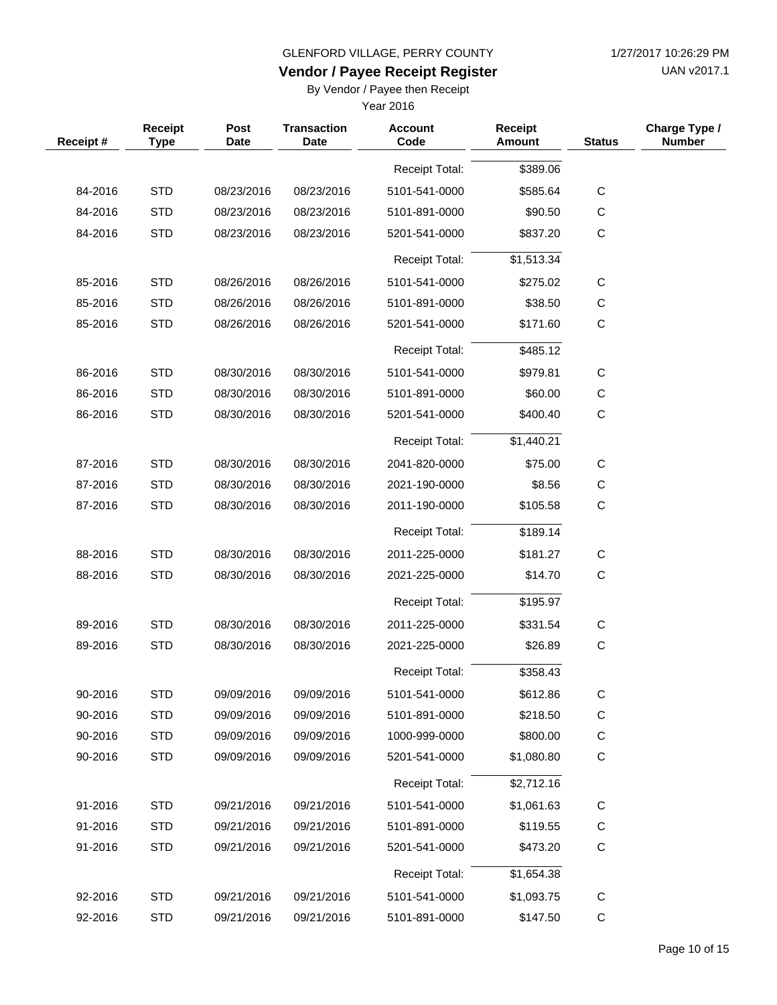UAN v2017.1

# **Vendor / Payee Receipt Register**

By Vendor / Payee then Receipt

| Receipt# | Receipt<br><b>Type</b> | Post<br><b>Date</b> | <b>Transaction</b><br><b>Date</b> | <b>Account</b><br>Code | <b>Receipt</b><br>Amount | <b>Status</b> | Charge Type /<br><b>Number</b> |
|----------|------------------------|---------------------|-----------------------------------|------------------------|--------------------------|---------------|--------------------------------|
|          |                        |                     |                                   | <b>Receipt Total:</b>  | \$389.06                 |               |                                |
| 84-2016  | <b>STD</b>             | 08/23/2016          | 08/23/2016                        | 5101-541-0000          | \$585.64                 | $\mathsf C$   |                                |
| 84-2016  | <b>STD</b>             | 08/23/2016          | 08/23/2016                        | 5101-891-0000          | \$90.50                  | $\mathsf C$   |                                |
| 84-2016  | <b>STD</b>             | 08/23/2016          | 08/23/2016                        | 5201-541-0000          | \$837.20                 | $\mathsf C$   |                                |
|          |                        |                     |                                   | <b>Receipt Total:</b>  | \$1,513.34               |               |                                |
| 85-2016  | <b>STD</b>             | 08/26/2016          | 08/26/2016                        | 5101-541-0000          | \$275.02                 | $\mathsf C$   |                                |
| 85-2016  | <b>STD</b>             | 08/26/2016          | 08/26/2016                        | 5101-891-0000          | \$38.50                  | $\mathsf C$   |                                |
| 85-2016  | <b>STD</b>             | 08/26/2016          | 08/26/2016                        | 5201-541-0000          | \$171.60                 | C             |                                |
|          |                        |                     |                                   | <b>Receipt Total:</b>  | \$485.12                 |               |                                |
| 86-2016  | <b>STD</b>             | 08/30/2016          | 08/30/2016                        | 5101-541-0000          | \$979.81                 | $\mathsf{C}$  |                                |
| 86-2016  | <b>STD</b>             | 08/30/2016          | 08/30/2016                        | 5101-891-0000          | \$60.00                  | $\mathsf C$   |                                |
| 86-2016  | <b>STD</b>             | 08/30/2016          | 08/30/2016                        | 5201-541-0000          | \$400.40                 | C             |                                |
|          |                        |                     |                                   | <b>Receipt Total:</b>  | \$1,440.21               |               |                                |
| 87-2016  | <b>STD</b>             | 08/30/2016          | 08/30/2016                        | 2041-820-0000          | \$75.00                  | C             |                                |
| 87-2016  | <b>STD</b>             | 08/30/2016          | 08/30/2016                        | 2021-190-0000          | \$8.56                   | $\mathsf C$   |                                |
| 87-2016  | <b>STD</b>             | 08/30/2016          | 08/30/2016                        | 2011-190-0000          | \$105.58                 | $\mathsf C$   |                                |
|          |                        |                     |                                   | <b>Receipt Total:</b>  | \$189.14                 |               |                                |
| 88-2016  | <b>STD</b>             | 08/30/2016          | 08/30/2016                        | 2011-225-0000          | \$181.27                 | C             |                                |
| 88-2016  | <b>STD</b>             | 08/30/2016          | 08/30/2016                        | 2021-225-0000          | \$14.70                  | $\mathsf{C}$  |                                |
|          |                        |                     |                                   | <b>Receipt Total:</b>  | \$195.97                 |               |                                |
| 89-2016  | <b>STD</b>             | 08/30/2016          | 08/30/2016                        | 2011-225-0000          | \$331.54                 | $\mathsf C$   |                                |
| 89-2016  | <b>STD</b>             | 08/30/2016          | 08/30/2016                        | 2021-225-0000          | \$26.89                  | $\mathsf C$   |                                |
|          |                        |                     |                                   | Receipt Total:         | \$358.43                 |               |                                |
| 90-2016  | <b>STD</b>             | 09/09/2016          | 09/09/2016                        | 5101-541-0000          | \$612.86                 | C             |                                |
| 90-2016  | <b>STD</b>             | 09/09/2016          | 09/09/2016                        | 5101-891-0000          | \$218.50                 | C             |                                |
| 90-2016  | <b>STD</b>             | 09/09/2016          | 09/09/2016                        | 1000-999-0000          | \$800.00                 | C             |                                |
| 90-2016  | <b>STD</b>             | 09/09/2016          | 09/09/2016                        | 5201-541-0000          | \$1,080.80               | $\mathsf C$   |                                |
|          |                        |                     |                                   | <b>Receipt Total:</b>  | \$2,712.16               |               |                                |
| 91-2016  | <b>STD</b>             | 09/21/2016          | 09/21/2016                        | 5101-541-0000          | \$1,061.63               | C             |                                |
| 91-2016  | <b>STD</b>             | 09/21/2016          | 09/21/2016                        | 5101-891-0000          | \$119.55                 | C             |                                |
| 91-2016  | <b>STD</b>             | 09/21/2016          | 09/21/2016                        | 5201-541-0000          | \$473.20                 | $\mathsf C$   |                                |
|          |                        |                     |                                   | <b>Receipt Total:</b>  | \$1,654.38               |               |                                |
| 92-2016  | <b>STD</b>             | 09/21/2016          | 09/21/2016                        | 5101-541-0000          | \$1,093.75               | $\mathsf{C}$  |                                |
| 92-2016  | <b>STD</b>             | 09/21/2016          | 09/21/2016                        | 5101-891-0000          | \$147.50                 | $\mathsf C$   |                                |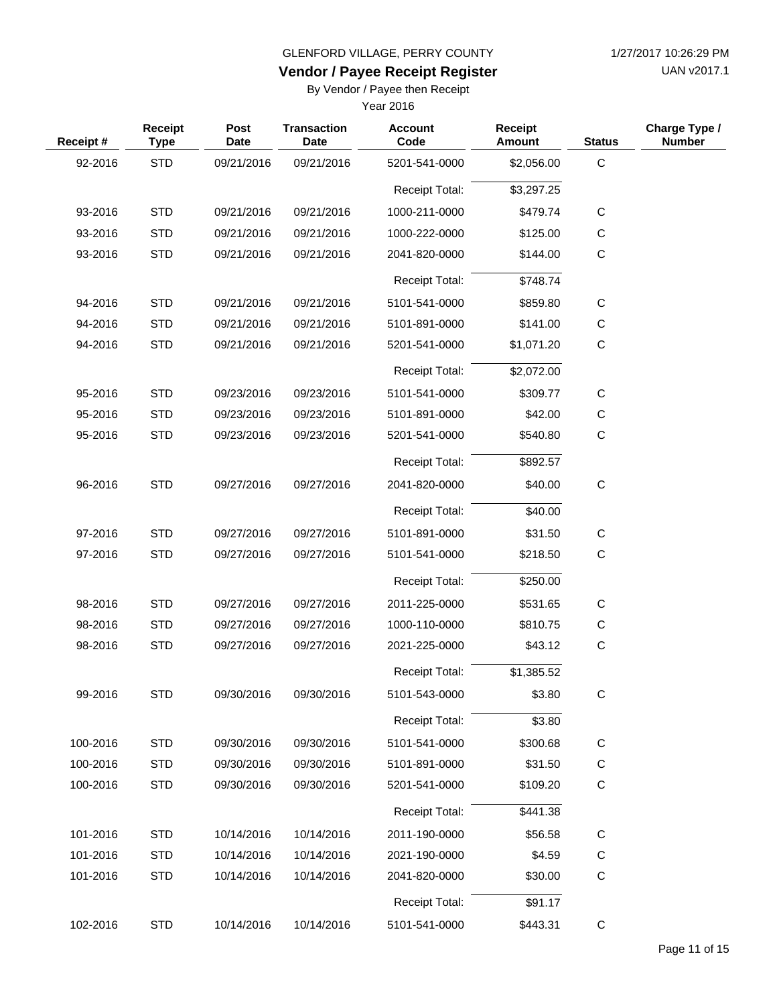UAN v2017.1

# **Vendor / Payee Receipt Register**

By Vendor / Payee then Receipt

| Receipt # | Receipt<br><b>Type</b> | Post<br><b>Date</b> | <b>Transaction</b><br><b>Date</b> | <b>Account</b><br>Code | <b>Receipt</b><br>Amount | <b>Status</b> | Charge Type /<br><b>Number</b> |
|-----------|------------------------|---------------------|-----------------------------------|------------------------|--------------------------|---------------|--------------------------------|
| 92-2016   | <b>STD</b>             | 09/21/2016          | 09/21/2016                        | 5201-541-0000          | \$2,056.00               | $\mathsf C$   |                                |
|           |                        |                     |                                   | <b>Receipt Total:</b>  | \$3,297.25               |               |                                |
| 93-2016   | <b>STD</b>             | 09/21/2016          | 09/21/2016                        | 1000-211-0000          | \$479.74                 | $\mathbf C$   |                                |
| 93-2016   | <b>STD</b>             | 09/21/2016          | 09/21/2016                        | 1000-222-0000          | \$125.00                 | С             |                                |
| 93-2016   | <b>STD</b>             | 09/21/2016          | 09/21/2016                        | 2041-820-0000          | \$144.00                 | $\mathsf C$   |                                |
|           |                        |                     |                                   | <b>Receipt Total:</b>  | \$748.74                 |               |                                |
| 94-2016   | <b>STD</b>             | 09/21/2016          | 09/21/2016                        | 5101-541-0000          | \$859.80                 | C             |                                |
| 94-2016   | <b>STD</b>             | 09/21/2016          | 09/21/2016                        | 5101-891-0000          | \$141.00                 | С             |                                |
| 94-2016   | <b>STD</b>             | 09/21/2016          | 09/21/2016                        | 5201-541-0000          | \$1,071.20               | $\mathsf C$   |                                |
|           |                        |                     |                                   | <b>Receipt Total:</b>  | \$2,072.00               |               |                                |
| 95-2016   | <b>STD</b>             | 09/23/2016          | 09/23/2016                        | 5101-541-0000          | \$309.77                 | C             |                                |
| 95-2016   | <b>STD</b>             | 09/23/2016          | 09/23/2016                        | 5101-891-0000          | \$42.00                  | $\mathbf C$   |                                |
| 95-2016   | <b>STD</b>             | 09/23/2016          | 09/23/2016                        | 5201-541-0000          | \$540.80                 | $\mathsf C$   |                                |
|           |                        |                     |                                   | <b>Receipt Total:</b>  | \$892.57                 |               |                                |
| 96-2016   | <b>STD</b>             | 09/27/2016          | 09/27/2016                        | 2041-820-0000          | \$40.00                  | $\mathbf C$   |                                |
|           |                        |                     |                                   | <b>Receipt Total:</b>  | \$40.00                  |               |                                |
| 97-2016   | <b>STD</b>             | 09/27/2016          | 09/27/2016                        | 5101-891-0000          | \$31.50                  | C             |                                |
| 97-2016   | <b>STD</b>             | 09/27/2016          | 09/27/2016                        | 5101-541-0000          | \$218.50                 | $\mathsf C$   |                                |
|           |                        |                     |                                   | <b>Receipt Total:</b>  | \$250.00                 |               |                                |
| 98-2016   | <b>STD</b>             | 09/27/2016          | 09/27/2016                        | 2011-225-0000          | \$531.65                 | $\mathsf C$   |                                |
| 98-2016   | <b>STD</b>             | 09/27/2016          | 09/27/2016                        | 1000-110-0000          | \$810.75                 | $\mathsf C$   |                                |
| 98-2016   | <b>STD</b>             | 09/27/2016          | 09/27/2016                        | 2021-225-0000          | \$43.12                  | $\mathsf C$   |                                |
|           |                        |                     |                                   | <b>Receipt Total:</b>  | \$1,385.52               |               |                                |
| 99-2016   | STD                    | 09/30/2016          | 09/30/2016                        | 5101-543-0000          | \$3.80                   | C             |                                |
|           |                        |                     |                                   | <b>Receipt Total:</b>  | \$3.80                   |               |                                |
| 100-2016  | <b>STD</b>             | 09/30/2016          | 09/30/2016                        | 5101-541-0000          | \$300.68                 | C             |                                |
| 100-2016  | <b>STD</b>             | 09/30/2016          | 09/30/2016                        | 5101-891-0000          | \$31.50                  | C             |                                |
| 100-2016  | <b>STD</b>             | 09/30/2016          | 09/30/2016                        | 5201-541-0000          | \$109.20                 | C             |                                |
|           |                        |                     |                                   | <b>Receipt Total:</b>  | \$441.38                 |               |                                |
| 101-2016  | <b>STD</b>             | 10/14/2016          | 10/14/2016                        | 2011-190-0000          | \$56.58                  | $\mathsf C$   |                                |
| 101-2016  | <b>STD</b>             | 10/14/2016          | 10/14/2016                        | 2021-190-0000          | \$4.59                   | $\mathsf C$   |                                |
| 101-2016  | <b>STD</b>             | 10/14/2016          | 10/14/2016                        | 2041-820-0000          | \$30.00                  | C             |                                |
|           |                        |                     |                                   | <b>Receipt Total:</b>  | \$91.17                  |               |                                |
| 102-2016  | <b>STD</b>             | 10/14/2016          | 10/14/2016                        | 5101-541-0000          | \$443.31                 | $\mathsf C$   |                                |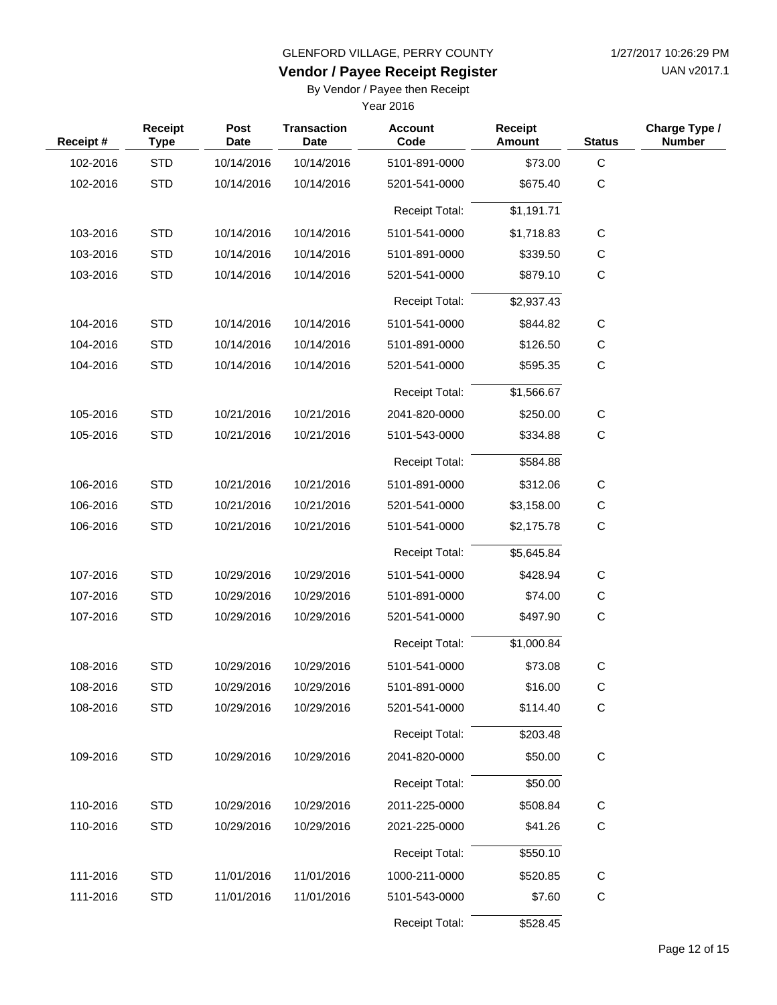UAN v2017.1

#### **Vendor / Payee Receipt Register**

By Vendor / Payee then Receipt

| Receipt# | Receipt<br><b>Type</b> | Post<br><b>Date</b> | <b>Transaction</b><br><b>Date</b> | <b>Account</b><br>Code | <b>Receipt</b><br>Amount | <b>Status</b> | Charge Type /<br><b>Number</b> |
|----------|------------------------|---------------------|-----------------------------------|------------------------|--------------------------|---------------|--------------------------------|
| 102-2016 | <b>STD</b>             | 10/14/2016          | 10/14/2016                        | 5101-891-0000          | \$73.00                  | $\mathsf C$   |                                |
| 102-2016 | <b>STD</b>             | 10/14/2016          | 10/14/2016                        | 5201-541-0000          | \$675.40                 | $\mathsf C$   |                                |
|          |                        |                     |                                   | Receipt Total:         | \$1,191.71               |               |                                |
| 103-2016 | <b>STD</b>             | 10/14/2016          | 10/14/2016                        | 5101-541-0000          | \$1,718.83               | $\mathsf{C}$  |                                |
| 103-2016 | <b>STD</b>             | 10/14/2016          | 10/14/2016                        | 5101-891-0000          | \$339.50                 | $\mathsf{C}$  |                                |
| 103-2016 | <b>STD</b>             | 10/14/2016          | 10/14/2016                        | 5201-541-0000          | \$879.10                 | $\mathsf{C}$  |                                |
|          |                        |                     |                                   | <b>Receipt Total:</b>  | \$2,937.43               |               |                                |
| 104-2016 | <b>STD</b>             | 10/14/2016          | 10/14/2016                        | 5101-541-0000          | \$844.82                 | $\mathsf C$   |                                |
| 104-2016 | <b>STD</b>             | 10/14/2016          | 10/14/2016                        | 5101-891-0000          | \$126.50                 | C             |                                |
| 104-2016 | <b>STD</b>             | 10/14/2016          | 10/14/2016                        | 5201-541-0000          | \$595.35                 | $\mathsf C$   |                                |
|          |                        |                     |                                   | <b>Receipt Total:</b>  | \$1,566.67               |               |                                |
| 105-2016 | <b>STD</b>             | 10/21/2016          | 10/21/2016                        | 2041-820-0000          | \$250.00                 | $\mathsf C$   |                                |
| 105-2016 | <b>STD</b>             | 10/21/2016          | 10/21/2016                        | 5101-543-0000          | \$334.88                 | C             |                                |
|          |                        |                     |                                   | <b>Receipt Total:</b>  | \$584.88                 |               |                                |
| 106-2016 | <b>STD</b>             | 10/21/2016          | 10/21/2016                        | 5101-891-0000          | \$312.06                 | C             |                                |
| 106-2016 | <b>STD</b>             | 10/21/2016          | 10/21/2016                        | 5201-541-0000          | \$3,158.00               | C             |                                |
| 106-2016 | <b>STD</b>             | 10/21/2016          | 10/21/2016                        | 5101-541-0000          | \$2,175.78               | $\mathsf C$   |                                |
|          |                        |                     |                                   | <b>Receipt Total:</b>  | \$5,645.84               |               |                                |
| 107-2016 | <b>STD</b>             | 10/29/2016          | 10/29/2016                        | 5101-541-0000          | \$428.94                 | $\mathsf{C}$  |                                |
| 107-2016 | <b>STD</b>             | 10/29/2016          | 10/29/2016                        | 5101-891-0000          | \$74.00                  | C             |                                |
| 107-2016 | <b>STD</b>             | 10/29/2016          | 10/29/2016                        | 5201-541-0000          | \$497.90                 | $\mathsf C$   |                                |
|          |                        |                     |                                   | <b>Receipt Total:</b>  | \$1,000.84               |               |                                |
| 108-2016 | <b>STD</b>             | 10/29/2016          | 10/29/2016                        | 5101-541-0000          | \$73.08                  | $\mathbf C$   |                                |
| 108-2016 | <b>STD</b>             | 10/29/2016          | 10/29/2016                        | 5101-891-0000          | \$16.00                  | С             |                                |
| 108-2016 | <b>STD</b>             | 10/29/2016          | 10/29/2016                        | 5201-541-0000          | \$114.40                 | $\mathsf C$   |                                |
|          |                        |                     |                                   | Receipt Total:         | \$203.48                 |               |                                |
| 109-2016 | <b>STD</b>             | 10/29/2016          | 10/29/2016                        | 2041-820-0000          | \$50.00                  | $\mathbf C$   |                                |
|          |                        |                     |                                   | Receipt Total:         | \$50.00                  |               |                                |
| 110-2016 | <b>STD</b>             | 10/29/2016          | 10/29/2016                        | 2011-225-0000          | \$508.84                 | $\mathsf{C}$  |                                |
| 110-2016 | <b>STD</b>             | 10/29/2016          | 10/29/2016                        | 2021-225-0000          | \$41.26                  | $\mathsf{C}$  |                                |
|          |                        |                     |                                   | Receipt Total:         | \$550.10                 |               |                                |
| 111-2016 | <b>STD</b>             | 11/01/2016          | 11/01/2016                        | 1000-211-0000          | \$520.85                 | $\mathsf C$   |                                |
| 111-2016 | <b>STD</b>             | 11/01/2016          | 11/01/2016                        | 5101-543-0000          | \$7.60                   | C             |                                |
|          |                        |                     |                                   | Receipt Total:         | \$528.45                 |               |                                |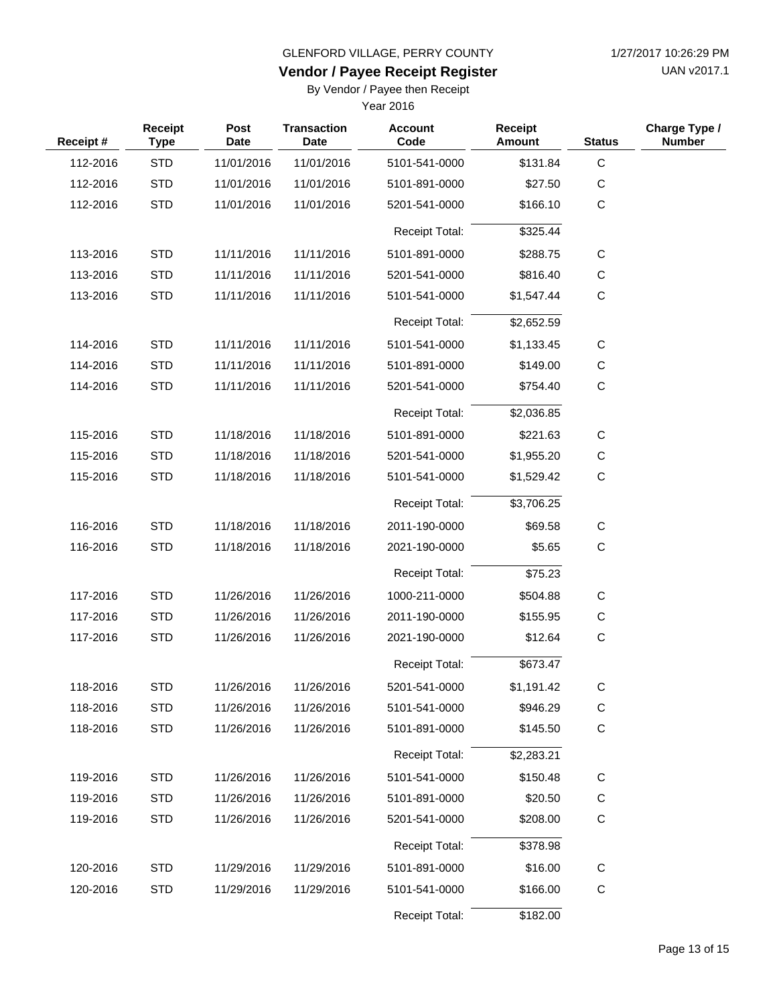UAN v2017.1

# **Vendor / Payee Receipt Register**

By Vendor / Payee then Receipt

| Receipt# | Receipt<br><b>Type</b> | Post<br><b>Date</b> | <b>Transaction</b><br><b>Date</b> | <b>Account</b><br>Code | <b>Receipt</b><br>Amount | <b>Status</b> | Charge Type /<br><b>Number</b> |
|----------|------------------------|---------------------|-----------------------------------|------------------------|--------------------------|---------------|--------------------------------|
| 112-2016 | <b>STD</b>             | 11/01/2016          | 11/01/2016                        | 5101-541-0000          | \$131.84                 | $\mathsf C$   |                                |
| 112-2016 | <b>STD</b>             | 11/01/2016          | 11/01/2016                        | 5101-891-0000          | \$27.50                  | $\mathsf{C}$  |                                |
| 112-2016 | <b>STD</b>             | 11/01/2016          | 11/01/2016                        | 5201-541-0000          | \$166.10                 | $\mathbf C$   |                                |
|          |                        |                     |                                   | <b>Receipt Total:</b>  | \$325.44                 |               |                                |
| 113-2016 | <b>STD</b>             | 11/11/2016          | 11/11/2016                        | 5101-891-0000          | \$288.75                 | C             |                                |
| 113-2016 | <b>STD</b>             | 11/11/2016          | 11/11/2016                        | 5201-541-0000          | \$816.40                 | C             |                                |
| 113-2016 | <b>STD</b>             | 11/11/2016          | 11/11/2016                        | 5101-541-0000          | \$1,547.44               | $\mathbf C$   |                                |
|          |                        |                     |                                   | <b>Receipt Total:</b>  | \$2,652.59               |               |                                |
| 114-2016 | <b>STD</b>             | 11/11/2016          | 11/11/2016                        | 5101-541-0000          | \$1,133.45               | $\mathsf C$   |                                |
| 114-2016 | <b>STD</b>             | 11/11/2016          | 11/11/2016                        | 5101-891-0000          | \$149.00                 | $\mathsf C$   |                                |
| 114-2016 | <b>STD</b>             | 11/11/2016          | 11/11/2016                        | 5201-541-0000          | \$754.40                 | $\mathsf C$   |                                |
|          |                        |                     |                                   | <b>Receipt Total:</b>  | \$2,036.85               |               |                                |
| 115-2016 | <b>STD</b>             | 11/18/2016          | 11/18/2016                        | 5101-891-0000          | \$221.63                 | C             |                                |
| 115-2016 | <b>STD</b>             | 11/18/2016          | 11/18/2016                        | 5201-541-0000          | \$1,955.20               | $\mathsf C$   |                                |
| 115-2016 | <b>STD</b>             | 11/18/2016          | 11/18/2016                        | 5101-541-0000          | \$1,529.42               | $\mathbf C$   |                                |
|          |                        |                     |                                   | <b>Receipt Total:</b>  | \$3,706.25               |               |                                |
| 116-2016 | <b>STD</b>             | 11/18/2016          | 11/18/2016                        | 2011-190-0000          | \$69.58                  | C             |                                |
| 116-2016 | <b>STD</b>             | 11/18/2016          | 11/18/2016                        | 2021-190-0000          | \$5.65                   | C             |                                |
|          |                        |                     |                                   | Receipt Total:         | \$75.23                  |               |                                |
| 117-2016 | <b>STD</b>             | 11/26/2016          | 11/26/2016                        | 1000-211-0000          | \$504.88                 | C             |                                |
| 117-2016 | <b>STD</b>             | 11/26/2016          | 11/26/2016                        | 2011-190-0000          | \$155.95                 | С             |                                |
| 117-2016 | <b>STD</b>             | 11/26/2016          | 11/26/2016                        | 2021-190-0000          | \$12.64                  | $\mathbf C$   |                                |
|          |                        |                     |                                   | <b>Receipt Total:</b>  | \$673.47                 |               |                                |
| 118-2016 | <b>STD</b>             | 11/26/2016          | 11/26/2016                        | 5201-541-0000          | \$1,191.42               |               |                                |
| 118-2016 | <b>STD</b>             | 11/26/2016          | 11/26/2016                        | 5101-541-0000          | \$946.29                 | C             |                                |
| 118-2016 | <b>STD</b>             | 11/26/2016          | 11/26/2016                        | 5101-891-0000          | \$145.50                 | C             |                                |
|          |                        |                     |                                   | <b>Receipt Total:</b>  | \$2,283.21               |               |                                |
| 119-2016 | <b>STD</b>             | 11/26/2016          | 11/26/2016                        | 5101-541-0000          | \$150.48                 | C             |                                |
| 119-2016 | <b>STD</b>             | 11/26/2016          | 11/26/2016                        | 5101-891-0000          | \$20.50                  | $\mathsf C$   |                                |
| 119-2016 | <b>STD</b>             | 11/26/2016          | 11/26/2016                        | 5201-541-0000          | \$208.00                 | C             |                                |
|          |                        |                     |                                   | <b>Receipt Total:</b>  | \$378.98                 |               |                                |
| 120-2016 | <b>STD</b>             | 11/29/2016          | 11/29/2016                        | 5101-891-0000          | \$16.00                  | C             |                                |
| 120-2016 | <b>STD</b>             | 11/29/2016          | 11/29/2016                        | 5101-541-0000          | \$166.00                 | $\mathsf C$   |                                |
|          |                        |                     |                                   | Receipt Total:         | \$182.00                 |               |                                |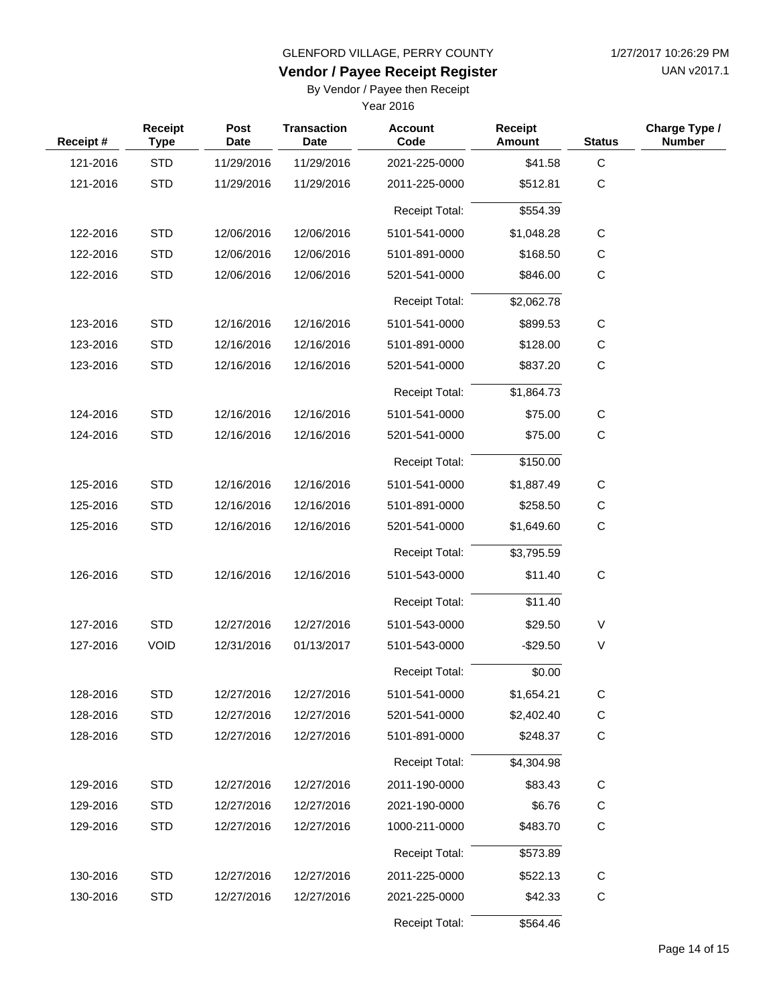UAN v2017.1

#### **Vendor / Payee Receipt Register**

By Vendor / Payee then Receipt

| Receipt# | Receipt<br><b>Type</b> | Post<br><b>Date</b> | <b>Transaction</b><br><b>Date</b> | <b>Account</b><br>Code | <b>Receipt</b><br><b>Amount</b> | <b>Status</b> | Charge Type /<br><b>Number</b> |
|----------|------------------------|---------------------|-----------------------------------|------------------------|---------------------------------|---------------|--------------------------------|
| 121-2016 | <b>STD</b>             | 11/29/2016          | 11/29/2016                        | 2021-225-0000          | \$41.58                         | $\mathbf C$   |                                |
| 121-2016 | <b>STD</b>             | 11/29/2016          | 11/29/2016                        | 2011-225-0000          | \$512.81                        | $\mathsf{C}$  |                                |
|          |                        |                     |                                   | <b>Receipt Total:</b>  | \$554.39                        |               |                                |
| 122-2016 | <b>STD</b>             | 12/06/2016          | 12/06/2016                        | 5101-541-0000          | \$1,048.28                      | C             |                                |
| 122-2016 | <b>STD</b>             | 12/06/2016          | 12/06/2016                        | 5101-891-0000          | \$168.50                        | C             |                                |
| 122-2016 | <b>STD</b>             | 12/06/2016          | 12/06/2016                        | 5201-541-0000          | \$846.00                        | C             |                                |
|          |                        |                     |                                   | <b>Receipt Total:</b>  | \$2,062.78                      |               |                                |
| 123-2016 | <b>STD</b>             | 12/16/2016          | 12/16/2016                        | 5101-541-0000          | \$899.53                        | C             |                                |
| 123-2016 | <b>STD</b>             | 12/16/2016          | 12/16/2016                        | 5101-891-0000          | \$128.00                        | C             |                                |
| 123-2016 | <b>STD</b>             | 12/16/2016          | 12/16/2016                        | 5201-541-0000          | \$837.20                        | $\mathbf C$   |                                |
|          |                        |                     |                                   | <b>Receipt Total:</b>  | \$1,864.73                      |               |                                |
| 124-2016 | <b>STD</b>             | 12/16/2016          | 12/16/2016                        | 5101-541-0000          | \$75.00                         | C             |                                |
| 124-2016 | <b>STD</b>             | 12/16/2016          | 12/16/2016                        | 5201-541-0000          | \$75.00                         | $\mathbf C$   |                                |
|          |                        |                     |                                   | <b>Receipt Total:</b>  | \$150.00                        |               |                                |
| 125-2016 | <b>STD</b>             | 12/16/2016          | 12/16/2016                        | 5101-541-0000          | \$1,887.49                      | C             |                                |
| 125-2016 | <b>STD</b>             | 12/16/2016          | 12/16/2016                        | 5101-891-0000          | \$258.50                        | C             |                                |
| 125-2016 | <b>STD</b>             | 12/16/2016          | 12/16/2016                        | 5201-541-0000          | \$1,649.60                      | $\mathbf C$   |                                |
|          |                        |                     |                                   | <b>Receipt Total:</b>  | \$3,795.59                      |               |                                |
| 126-2016 | <b>STD</b>             | 12/16/2016          | 12/16/2016                        | 5101-543-0000          | \$11.40                         | $\mathbf C$   |                                |
|          |                        |                     |                                   | <b>Receipt Total:</b>  | \$11.40                         |               |                                |
| 127-2016 | <b>STD</b>             | 12/27/2016          | 12/27/2016                        | 5101-543-0000          | \$29.50                         | $\vee$        |                                |
| 127-2016 | <b>VOID</b>            | 12/31/2016          | 01/13/2017                        | 5101-543-0000          | $-$29.50$                       | V             |                                |
|          |                        |                     |                                   | Receipt Total:         | \$0.00                          |               |                                |
| 128-2016 | <b>STD</b>             | 12/27/2016          | 12/27/2016                        | 5101-541-0000          | \$1,654.21                      | C             |                                |
| 128-2016 | <b>STD</b>             | 12/27/2016          | 12/27/2016                        | 5201-541-0000          | \$2,402.40                      | C             |                                |
| 128-2016 | <b>STD</b>             | 12/27/2016          | 12/27/2016                        | 5101-891-0000          | \$248.37                        | C             |                                |
|          |                        |                     |                                   | Receipt Total:         | \$4,304.98                      |               |                                |
| 129-2016 | <b>STD</b>             | 12/27/2016          | 12/27/2016                        | 2011-190-0000          | \$83.43                         | C             |                                |
| 129-2016 | <b>STD</b>             | 12/27/2016          | 12/27/2016                        | 2021-190-0000          | \$6.76                          | C             |                                |
| 129-2016 | <b>STD</b>             | 12/27/2016          | 12/27/2016                        | 1000-211-0000          | \$483.70                        | C             |                                |
|          |                        |                     |                                   | Receipt Total:         | \$573.89                        |               |                                |
| 130-2016 | <b>STD</b>             | 12/27/2016          | 12/27/2016                        | 2011-225-0000          | \$522.13                        | C             |                                |
| 130-2016 | <b>STD</b>             | 12/27/2016          | 12/27/2016                        | 2021-225-0000          | \$42.33                         | C             |                                |
|          |                        |                     |                                   | Receipt Total:         | \$564.46                        |               |                                |